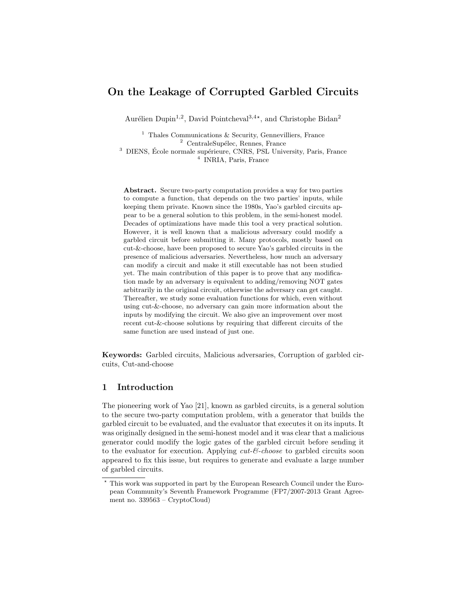# On the Leakage of Corrupted Garbled Circuits

Aurélien Dupin<sup>1,2</sup>, David Pointcheval<sup>3,4\*</sup>, and Christophe Bidan<sup>2</sup>

<sup>1</sup> Thales Communications  $\&$  Security, Gennevilliers, France  $2$  CentraleSupélec, Rennes, France  $3$  DIENS, École normale supérieure, CNRS, PSL University, Paris, France

4 INRIA, Paris, France

Abstract. Secure two-party computation provides a way for two parties to compute a function, that depends on the two parties' inputs, while keeping them private. Known since the 1980s, Yao's garbled circuits appear to be a general solution to this problem, in the semi-honest model. Decades of optimizations have made this tool a very practical solution. However, it is well known that a malicious adversary could modify a garbled circuit before submitting it. Many protocols, mostly based on cut-&-choose, have been proposed to secure Yao's garbled circuits in the presence of malicious adversaries. Nevertheless, how much an adversary can modify a circuit and make it still executable has not been studied yet. The main contribution of this paper is to prove that any modification made by an adversary is equivalent to adding/removing NOT gates arbitrarily in the original circuit, otherwise the adversary can get caught. Thereafter, we study some evaluation functions for which, even without using cut-&-choose, no adversary can gain more information about the inputs by modifying the circuit. We also give an improvement over most recent cut-&-choose solutions by requiring that different circuits of the same function are used instead of just one.

Keywords: Garbled circuits, Malicious adversaries, Corruption of garbled circuits, Cut-and-choose

## 1 Introduction

The pioneering work of Yao [21], known as garbled circuits, is a general solution to the secure two-party computation problem, with a generator that builds the garbled circuit to be evaluated, and the evaluator that executes it on its inputs. It was originally designed in the semi-honest model and it was clear that a malicious generator could modify the logic gates of the garbled circuit before sending it to the evaluator for execution. Applying  $cut$ - $\mathcal{C}-choose$  to garbled circuits soon appeared to fix this issue, but requires to generate and evaluate a large number of garbled circuits.

<sup>?</sup> This work was supported in part by the European Research Council under the European Community's Seventh Framework Programme (FP7/2007-2013 Grant Agreement no. 339563 – CryptoCloud)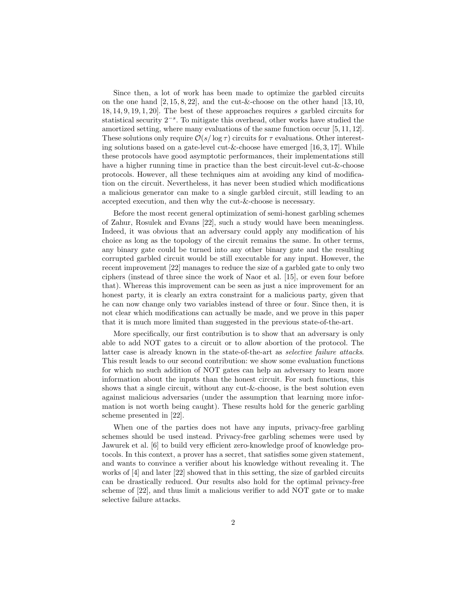Since then, a lot of work has been made to optimize the garbled circuits on the one hand  $[2, 15, 8, 22]$ , and the cut-&-choose on the other hand  $[13, 10]$ , 18, 14, 9, 19, 1, 20]. The best of these approaches requires s garbled circuits for statistical security  $2^{-s}$ . To mitigate this overhead, other works have studied the amortized setting, where many evaluations of the same function occur [5, 11, 12]. These solutions only require  $\mathcal{O}(s/\log \tau)$  circuits for  $\tau$  evaluations. Other interesting solutions based on a gate-level cut-&-choose have emerged [16, 3, 17]. While these protocols have good asymptotic performances, their implementations still have a higher running time in practice than the best circuit-level cut- $\&$ -choose protocols. However, all these techniques aim at avoiding any kind of modification on the circuit. Nevertheless, it has never been studied which modifications a malicious generator can make to a single garbled circuit, still leading to an accepted execution, and then why the cut-&-choose is necessary.

Before the most recent general optimization of semi-honest garbling schemes of Zahur, Rosulek and Evans [22], such a study would have been meaningless. Indeed, it was obvious that an adversary could apply any modification of his choice as long as the topology of the circuit remains the same. In other terms, any binary gate could be turned into any other binary gate and the resulting corrupted garbled circuit would be still executable for any input. However, the recent improvement [22] manages to reduce the size of a garbled gate to only two ciphers (instead of three since the work of Naor et al. [15], or even four before that). Whereas this improvement can be seen as just a nice improvement for an honest party, it is clearly an extra constraint for a malicious party, given that he can now change only two variables instead of three or four. Since then, it is not clear which modifications can actually be made, and we prove in this paper that it is much more limited than suggested in the previous state-of-the-art.

More specifically, our first contribution is to show that an adversary is only able to add NOT gates to a circuit or to allow abortion of the protocol. The latter case is already known in the state-of-the-art as selective failure attacks. This result leads to our second contribution: we show some evaluation functions for which no such addition of NOT gates can help an adversary to learn more information about the inputs than the honest circuit. For such functions, this shows that a single circuit, without any cut-&-choose, is the best solution even against malicious adversaries (under the assumption that learning more information is not worth being caught). These results hold for the generic garbling scheme presented in [22].

When one of the parties does not have any inputs, privacy-free garbling schemes should be used instead. Privacy-free garbling schemes were used by Jawurek et al. [6] to build very efficient zero-knowledge proof of knowledge protocols. In this context, a prover has a secret, that satisfies some given statement, and wants to convince a verifier about his knowledge without revealing it. The works of [4] and later [22] showed that in this setting, the size of garbled circuits can be drastically reduced. Our results also hold for the optimal privacy-free scheme of [22], and thus limit a malicious verifier to add NOT gate or to make selective failure attacks.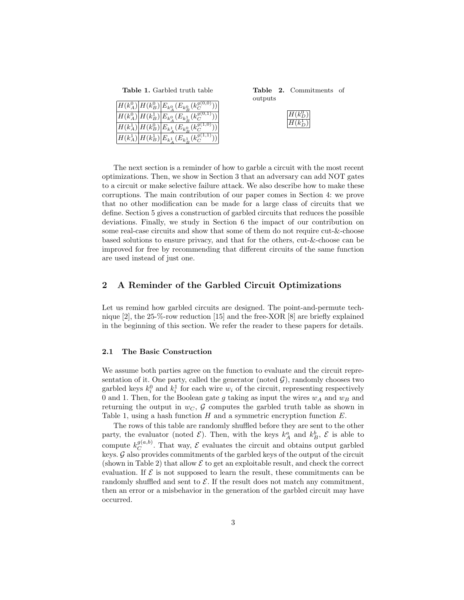Table 1. Garbled truth table

|  | $\left H(k_A^0)\right  \! H(k_B^0) \! \left E_{k_A^0}(E_{k_B^0}(k_C^{g(0,0)}))\right $ |
|--|----------------------------------------------------------------------------------------|
|  | $\left H(k_A^0)\right  \! H(k_B^1)\big  E_{k_A^0}(E_{k_B^1}(k_C^{g(0,1)})$             |
|  | $\left H(k_A^1)\right H(k_B^0)\left E_{k_A^1}(E_{k_B^0}(k_C^{g(1,0)}))\right $         |
|  | $\left H(k_A^1)\right H(k_B^1)\left E_{k_A^1}(E_{k_B^1}(k_C^{g(1,1)}))\right $         |

Table 2. Commitments of outputs

The next section is a reminder of how to garble a circuit with the most recent optimizations. Then, we show in Section 3 that an adversary can add NOT gates to a circuit or make selective failure attack. We also describe how to make these corruptions. The main contribution of our paper comes in Section 4: we prove that no other modification can be made for a large class of circuits that we define. Section 5 gives a construction of garbled circuits that reduces the possible deviations. Finally, we study in Section 6 the impact of our contribution on some real-case circuits and show that some of them do not require cut-&-choose based solutions to ensure privacy, and that for the others, cut-&-choose can be improved for free by recommending that different circuits of the same function are used instead of just one.

## 2 A Reminder of the Garbled Circuit Optimizations

Let us remind how garbled circuits are designed. The point-and-permute technique [2], the 25-%-row reduction [15] and the free-XOR [8] are briefly explained in the beginning of this section. We refer the reader to these papers for details.

## 2.1 The Basic Construction

We assume both parties agree on the function to evaluate and the circuit representation of it. One party, called the generator (noted  $\mathcal{G}$ ), randomly chooses two garbled keys  $k_i^0$  and  $k_i^1$  for each wire  $w_i$  of the circuit, representing respectively 0 and 1. Then, for the Boolean gate g taking as input the wires  $w_A$  and  $w_B$  and returning the output in  $w_C$ ,  $\mathcal G$  computes the garbled truth table as shown in Table 1, using a hash function  $H$  and a symmetric encryption function  $E$ .

The rows of this table are randomly shuffled before they are sent to the other party, the evaluator (noted  $\mathcal{E}$ ). Then, with the keys  $k_A^a$  and  $k_B^b$ ,  $\mathcal{E}$  is able to compute  $k_C^{g(a,b)}$  $C^{(a,0)}$ . That way,  $\mathcal E$  evaluates the circuit and obtains output garbled keys.  $G$  also provides commitments of the garbled keys of the output of the circuit (shown in Table 2) that allow  $\mathcal E$  to get an exploitable result, and check the correct evaluation. If  $\mathcal E$  is not supposed to learn the result, these commitments can be randomly shuffled and sent to  $\mathcal E$ . If the result does not match any commitment, then an error or a misbehavior in the generation of the garbled circuit may have occurred.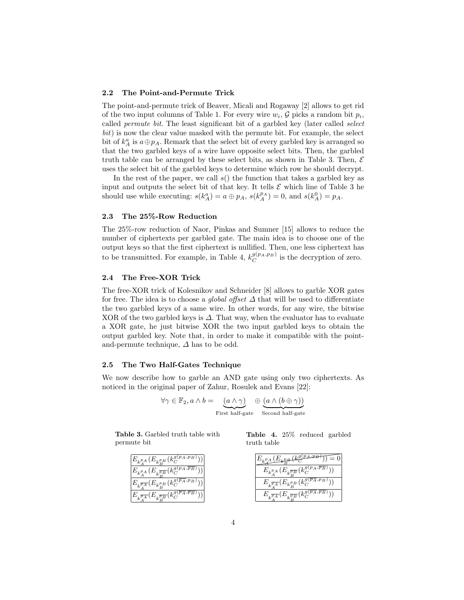### 2.2 The Point-and-Permute Trick

The point-and-permute trick of Beaver, Micali and Rogaway [2] allows to get rid of the two input columns of Table 1. For every wire  $w_i$ ,  $\mathcal G$  picks a random bit  $p_i$ , called permute bit. The least significant bit of a garbled key (later called select bit) is now the clear value masked with the permute bit. For example, the select bit of  $k_A^a$  is  $a \oplus p_A$ . Remark that the select bit of every garbled key is arranged so that the two garbled keys of a wire have opposite select bits. Then, the garbled truth table can be arranged by these select bits, as shown in Table 3. Then,  $\mathcal E$ uses the select bit of the garbled keys to determine which row he should decrypt.

In the rest of the paper, we call  $s()$  the function that takes a garbled key as input and outputs the select bit of that key. It tells  $\mathcal E$  which line of Table 3 he should use while executing:  $s(k_A^a) = a \oplus p_A$ ,  $s(k_A^{p_A}) = 0$ , and  $s(k_A^0) = p_A$ .

## 2.3 The 25%-Row Reduction

The 25%-row reduction of Naor, Pinkas and Sumner [15] allows to reduce the number of ciphertexts per garbled gate. The main idea is to choose one of the output keys so that the first ciphertext is nullified. Then, one less ciphertext has to be transmitted. For example, in Table 4,  $k_C^{g(p_A, p_B)}$  is the decryption of zero.

#### 2.4 The Free-XOR Trick

The free-XOR trick of Kolesnikov and Schneider [8] allows to garble XOR gates for free. The idea is to choose a *global offset*  $\Delta$  that will be used to differentiate the two garbled keys of a same wire. In other words, for any wire, the bitwise XOR of the two garbled keys is  $\Delta$ . That way, when the evaluator has to evaluate a XOR gate, he just bitwise XOR the two input garbled keys to obtain the output garbled key. Note that, in order to make it compatible with the pointand-permute technique,  $\Delta$  has to be odd.

## 2.5 The Two Half-Gates Technique

We now describe how to garble an AND gate using only two ciphertexts. As noticed in the original paper of Zahur, Rosulek and Evans [22]:

$$
\forall \gamma \in \mathbb{F}_2, a \wedge b = \underbrace{(a \wedge \gamma)}_{\text{First half-gate}} \oplus \underbrace{(a \wedge (b \oplus \gamma))}_{\text{Second half-gate}}
$$

Table 3. Garbled truth table with permute bit

 $E_k$ 

 $E_{k}$ 

 $E_{k}$ 

 $E_{k}$ 

Table 4. 25% reduced garbled truth table

| $_{\frac{p_{A}}{A}}(E_{k_{B}^{p_{B}}}(k_{C}^{g(p_{A} , p_{B})}))$                                             |  |
|---------------------------------------------------------------------------------------------------------------|--|
| $_{A}^{p_{A}}(E_{k_{B}^{\overline{p_{B}}}}(k_{C}^{g(\overline{p_{A},\overline{p_{B}}})}))$                    |  |
| $\frac{1}{\sqrt{2\pi}}(E_{k^p_B}(k^{\overline{g(\overline{p_A}, p_B)}}))$                                     |  |
| $\frac{1}{\sqrt[p_A]{E_{k^{\overline{p}_B}}}\left(k_C^{g\left(\overline{p_A},\overline{p_B}\right)}\right))}$ |  |

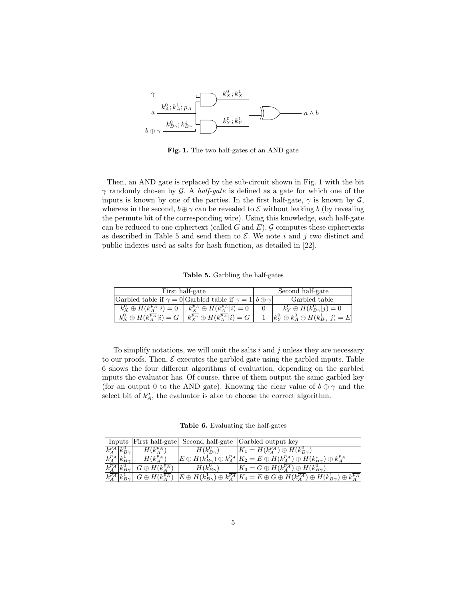

Fig. 1. The two half-gates of an AND gate

Then, an AND gate is replaced by the sub-circuit shown in Fig. 1 with the bit  $\gamma$  randomly chosen by G. A *half-gate* is defined as a gate for which one of the inputs is known by one of the parties. In the first half-gate,  $\gamma$  is known by  $\mathcal{G}$ , whereas in the second,  $b \oplus \gamma$  can be revealed to  $\mathcal E$  without leaking b (by revealing the permute bit of the corresponding wire). Using this knowledge, each half-gate can be reduced to one ciphertext (called  $G$  and  $E$ ).  $\mathcal G$  computes these ciphertexts as described in Table 5 and send them to  $\mathcal E$ . We note i and j two distinct and public indexes used as salts for hash function, as detailed in [22].

Table 5. Garbling the half-gates

|                                              | First half-gate                                                                | Second half-gate |                                                                 |  |
|----------------------------------------------|--------------------------------------------------------------------------------|------------------|-----------------------------------------------------------------|--|
|                                              | Garbled table if $\gamma = 0$ Garbled table if $\gamma = 1  b \oplus \gamma  $ |                  | Garbled table                                                   |  |
| $k_X^0 \oplus H(k_A^{p_A} i) = 0$            | $k_{\rm x}^{p_A} \oplus H(k_{\rm A}^{p_A} i) = 0$                              |                  | $k_Y^0 \oplus H(k_{B\gamma}^0 j) = 0$                           |  |
| $k_X^0 \oplus H(k_A^{\overline{p_A}} i) = G$ | $k_{X}^{\overline{p_{A}}} \oplus H(k_{A}^{\overline{p_{A}}} i) = G$            |                  | $\left k_Y^0 \oplus k_A^0 \oplus H(k_{B\gamma}^1 j) = E\right $ |  |

To simplify notations, we will omit the salts  $i$  and  $j$  unless they are necessary to our proofs. Then,  $\mathcal E$  executes the garbled gate using the garbled inputs. Table 6 shows the four different algorithms of evaluation, depending on the garbled inputs the evaluator has. Of course, three of them output the same garbled key (for an output 0 to the AND gate). Knowing the clear value of  $b \oplus \gamma$  and the select bit of  $k_A^a$ , the evaluator is able to choose the correct algorithm.

Table 6. Evaluating the half-gates

|                                                   |                                                                                 |                                  | Inputs First half-gate Second half-gate Garbled output key                                                                                                                                                                                                   |
|---------------------------------------------------|---------------------------------------------------------------------------------|----------------------------------|--------------------------------------------------------------------------------------------------------------------------------------------------------------------------------------------------------------------------------------------------------------|
| $\left k_A^{p_A}\right k_{B\gamma}^0\right ^{-1}$ | $H(\bar{k}_{A}^{\overline{p_{A}}})$                                             | $H(k_{B_{\gamma}}^{\mathsf{U}})$ | $K_1 = H(k_A^{p_A}) \oplus H(k_{B\gamma}^0)$                                                                                                                                                                                                                 |
| $\left k_A^{p_A} \right  k_{B\gamma}^1 \Big $     | $H(\overline{k_{A}^{p_{A}}})$                                                   |                                  | $\overline{ E\oplus H(k_{B\gamma}^1)\oplus k_A^{p_A} }K_2=E\oplus H(k_A^{p_A})\oplus H(k_{B\gamma}^1)\oplus k_A^{p_A}$                                                                                                                                       |
|                                                   | $\left k_A^{\overline{p_A}}k_{B\gamma}^0\right G\oplus H(k_A^{\overline{p_A}})$ | $H(k_{B\gamma}^0)$               | $K_3 = G \oplus H(k_A^{\overline{p_A}}) \oplus H(k_{B\gamma}^0)$                                                                                                                                                                                             |
|                                                   |                                                                                 |                                  | $\big  k_A^{\overline{p_A}}\big  k_{B\gamma}^1\big \ G \oplus H(k_A^{\overline{p_A}})\ \big E\oplus H(k_{B\gamma}^1) \oplus k_A^{\overline{p_A}}\big  K_4 = E\oplus G\oplus H(k_A^{\overline{p_A}})\oplus H(k_{B\gamma}^1) \oplus k_A^{\overline{p_A}}\big $ |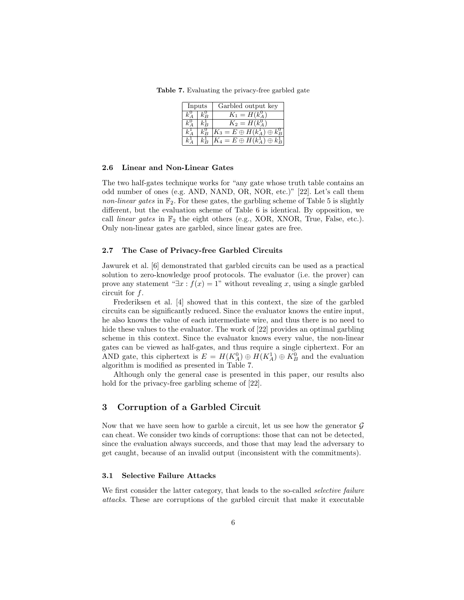Table 7. Evaluating the privacy-free garbled gate

| Inputs              | Garbled output key                     |
|---------------------|----------------------------------------|
| $k_{\rm B}^{\rm o}$ | $\overline{K_1} = H(k_A^0)$            |
|                     | $K_2 = H(k_A^0)$                       |
|                     | $K_3 = E \oplus H(k_A^1) \oplus k_B^0$ |
| $k_{B}^{\perp}$     | $K_4 = E \oplus H(k_A^1) \oplus k_B^1$ |

#### 2.6 Linear and Non-Linear Gates

The two half-gates technique works for "any gate whose truth table contains an odd number of ones (e.g. AND, NAND, OR, NOR, etc.)" [22]. Let's call them non-linear gates in  $\mathbb{F}_2$ . For these gates, the garbling scheme of Table 5 is slightly different, but the evaluation scheme of Table 6 is identical. By opposition, we call *linear gates* in  $\mathbb{F}_2$  the eight others (e.g., XOR, XNOR, True, False, etc.). Only non-linear gates are garbled, since linear gates are free.

## 2.7 The Case of Privacy-free Garbled Circuits

Jawurek et al. [6] demonstrated that garbled circuits can be used as a practical solution to zero-knowledge proof protocols. The evaluator (i.e. the prover) can prove any statement " $\exists x : f(x) = 1$ " without revealing x, using a single garbled circuit for f.

Frederiksen et al. [4] showed that in this context, the size of the garbled circuits can be significantly reduced. Since the evaluator knows the entire input, he also knows the value of each intermediate wire, and thus there is no need to hide these values to the evaluator. The work of [22] provides an optimal garbling scheme in this context. Since the evaluator knows every value, the non-linear gates can be viewed as half-gates, and thus require a single ciphertext. For an AND gate, this ciphertext is  $E = H(K_A^0) \oplus H(K_A^1) \oplus K_B^0$  and the evaluation algorithm is modified as presented in Table 7.

Although only the general case is presented in this paper, our results also hold for the privacy-free garbling scheme of  $[22]$ .

## 3 Corruption of a Garbled Circuit

Now that we have seen how to garble a circuit, let us see how the generator  $\mathcal G$ can cheat. We consider two kinds of corruptions: those that can not be detected, since the evaluation always succeeds, and those that may lead the adversary to get caught, because of an invalid output (inconsistent with the commitments).

## 3.1 Selective Failure Attacks

We first consider the latter category, that leads to the so-called *selective failure* attacks. These are corruptions of the garbled circuit that make it executable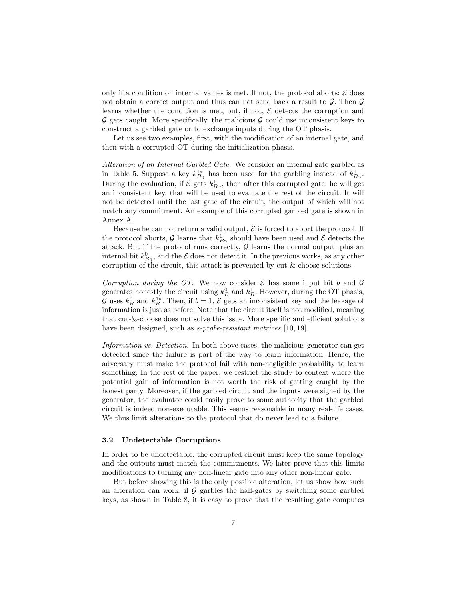only if a condition on internal values is met. If not, the protocol aborts:  $\mathcal E$  does not obtain a correct output and thus can not send back a result to  $\mathcal G$ . Then  $\mathcal G$ learns whether the condition is met, but, if not,  $\mathcal E$  detects the corruption and  $\mathcal G$  gets caught. More specifically, the malicious  $\mathcal G$  could use inconsistent keys to construct a garbled gate or to exchange inputs during the OT phasis.

Let us see two examples, first, with the modification of an internal gate, and then with a corrupted OT during the initialization phasis.

Alteration of an Internal Garbled Gate. We consider an internal gate garbled as in Table 5. Suppose a key  $k_{B\gamma}^{1*}$  has been used for the garbling instead of  $k_{B\gamma}^1$ . During the evaluation, if  $\mathcal{E}$  gets  $k_{B\gamma}^1$ , then after this corrupted gate, he will get an inconsistent key, that will be used to evaluate the rest of the circuit. It will not be detected until the last gate of the circuit, the output of which will not match any commitment. An example of this corrupted garbled gate is shown in Annex A.

Because he can not return a valid output,  $\mathcal E$  is forced to abort the protocol. If the protocol aborts, G learns that  $k_{B\gamma}^1$  should have been used and E detects the attack. But if the protocol runs correctly,  $G$  learns the normal output, plus an internal bit  $k_{B\gamma}^0$ , and the  $\mathcal E$  does not detect it. In the previous works, as any other corruption of the circuit, this attack is prevented by cut-&-choose solutions.

Corruption during the OT. We now consider  $\mathcal E$  has some input bit b and  $\mathcal G$ generates honestly the circuit using  $k_B^0$  and  $k_B^1$ . However, during the OT phasis,  $\mathcal G$  uses  $k_B^0$  and  $k_B^{1*}$ . Then, if  $b = 1, \mathcal E$  gets an inconsistent key and the leakage of information is just as before. Note that the circuit itself is not modified, meaning that cut-&-choose does not solve this issue. More specific and efficient solutions have been designed, such as *s-probe-resistant matrices* [10, 19].

Information vs. Detection. In both above cases, the malicious generator can get detected since the failure is part of the way to learn information. Hence, the adversary must make the protocol fail with non-negligible probability to learn something. In the rest of the paper, we restrict the study to context where the potential gain of information is not worth the risk of getting caught by the honest party. Moreover, if the garbled circuit and the inputs were signed by the generator, the evaluator could easily prove to some authority that the garbled circuit is indeed non-executable. This seems reasonable in many real-life cases. We thus limit alterations to the protocol that do never lead to a failure.

## 3.2 Undetectable Corruptions

In order to be undetectable, the corrupted circuit must keep the same topology and the outputs must match the commitments. We later prove that this limits modifications to turning any non-linear gate into any other non-linear gate.

But before showing this is the only possible alteration, let us show how such an alteration can work: if  $G$  garbles the half-gates by switching some garbled keys, as shown in Table 8, it is easy to prove that the resulting gate computes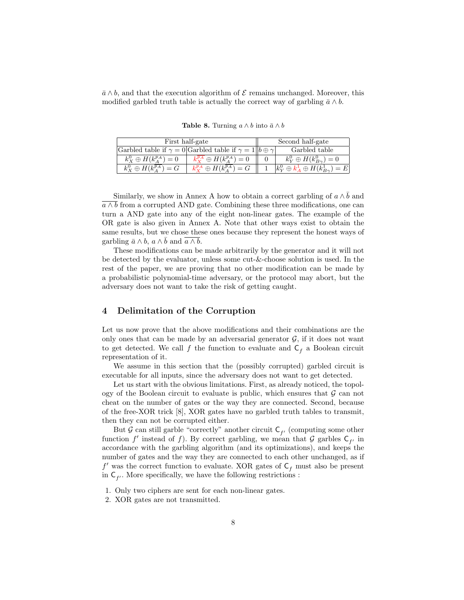$\bar{a} \wedge b$ , and that the execution algorithm of  $\mathcal E$  remains unchanged. Moreover, this modified garbled truth table is actually the correct way of garbling  $\bar{a} \wedge b$ .

| First half-gate                                                                |                                                                                 |  | Second half-gate                                   |  |  |
|--------------------------------------------------------------------------------|---------------------------------------------------------------------------------|--|----------------------------------------------------|--|--|
| Garbled table if $\gamma = 0$ Garbled table if $\gamma = 1  b \oplus \gamma  $ |                                                                                 |  | Garbled table                                      |  |  |
| $k_X^0 \oplus H(k_A^{p_A}) = 0$                                                | $k_{\mathbf{Y}}^{\overline{p_A}} \oplus H(k_{\scriptscriptstyle{A}}^{p_A}) = 0$ |  | $k_Y^0 \oplus H(k_{B}^0 \gamma) = 0$               |  |  |
| $k_X^0 \oplus H(k_A^{\overline{p_A}}) = G$                                     | $k_X^{p_A} \oplus H(k_A^{\overline{p_A}}) = G$                                  |  | $ k_Y^0 \oplus k_A^1 \oplus H(k_{B\gamma}^1) = E $ |  |  |

**Table 8.** Turning  $a \wedge b$  into  $\bar{a} \wedge b$ 

Similarly, we show in Annex A how to obtain a correct garbling of  $a \wedge b$  and  $\overline{a \wedge b}$  from a corrupted AND gate. Combining these three modifications, one can turn a AND gate into any of the eight non-linear gates. The example of the OR gate is also given in Annex A. Note that other ways exist to obtain the same results, but we chose these ones because they represent the honest ways of garbling  $\bar{a} \wedge b$ ,  $a \wedge \bar{b}$  and  $\bar{a} \wedge \bar{b}$ .

These modifications can be made arbitrarily by the generator and it will not be detected by the evaluator, unless some cut-&-choose solution is used. In the rest of the paper, we are proving that no other modification can be made by a probabilistic polynomial-time adversary, or the protocol may abort, but the adversary does not want to take the risk of getting caught.

# 4 Delimitation of the Corruption

Let us now prove that the above modifications and their combinations are the only ones that can be made by an adversarial generator  $\mathcal{G}$ , if it does not want to get detected. We call  $f$  the function to evaluate and  $C_f$  a Boolean circuit representation of it.

We assume in this section that the (possibly corrupted) garbled circuit is executable for all inputs, since the adversary does not want to get detected.

Let us start with the obvious limitations. First, as already noticed, the topology of the Boolean circuit to evaluate is public, which ensures that  $\mathcal G$  can not cheat on the number of gates or the way they are connected. Second, because of the free-XOR trick [8], XOR gates have no garbled truth tables to transmit, then they can not be corrupted either.

But  $\mathcal G$  can still garble "correctly" another circuit  $\mathsf C_{f'}$  (computing some other function  $f'$  instead of  $f$ ). By correct garbling, we mean that  $G$  garbles  $C_{f'}$  in accordance with the garbling algorithm (and its optimizations), and keeps the number of gates and the way they are connected to each other unchanged, as if  $f'$  was the correct function to evaluate. XOR gates of  $C_f$  must also be present in  $C_{f'}$ . More specifically, we have the following restrictions :

- 1. Only two ciphers are sent for each non-linear gates.
- 2. XOR gates are not transmitted.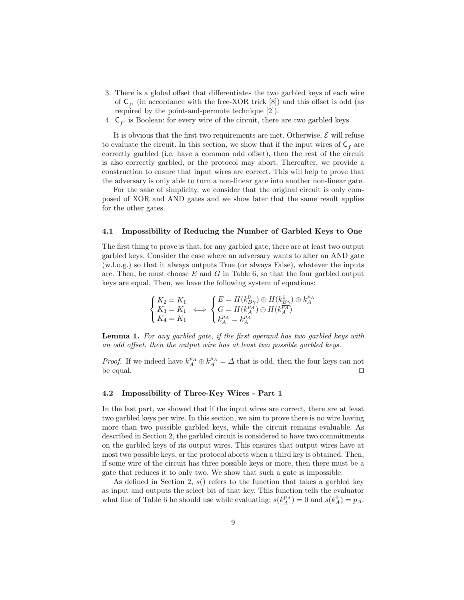- 3. There is a global offset that differentiates the two garbled keys of each wire of  $C_{f'}$  (in accordance with the free-XOR trick [8]) and this offset is odd (as required by the point-and-permute technique [2]).
- 4.  $C_{f'}$  is Boolean: for every wire of the circuit, there are two garbled keys.

It is obvious that the first two requirements are met. Otherwise,  $\mathcal E$  will refuse to evaluate the circuit. In this section, we show that if the input wires of  $C_f$  are correctly garbled (i.e. have a common odd offset), then the rest of the circuit is also correctly garbled, or the protocol may abort. Thereafter, we provide a construction to ensure that input wires are correct. This will help to prove that the adversary is only able to turn a non-linear gate into another non-linear gate.

For the sake of simplicity, we consider that the original circuit is only composed of XOR and AND gates and we show later that the same result applies for the other gates.

#### 4.1 Impossibility of Reducing the Number of Garbled Keys to One

The first thing to prove is that, for any garbled gate, there are at least two output garbled keys. Consider the case where an adversary wants to alter an AND gate (w.l.o.g.) so that it always outputs True (or always False), whatever the inputs are. Then, he must choose  $E$  and  $G$  in Table 6, so that the four garbled output keys are equal. Then, we have the following system of equations:

$$
\left\{ \begin{aligned} K_2&=K_1\\ K_3&=K_1\\ K_4&=K_1 \end{aligned} \right. \Longleftrightarrow \left\{ \begin{aligned} E&=H(k^0_{B\gamma})\oplus H(k^1_{B\gamma})\oplus k^{p_A}_A\\ G&=H(k^{p_A}_A)\oplus H(k^{p_A}_A)\\ k^{p_A}_A&=k^{p_A}_A \end{aligned} \right.
$$

Lemma 1. For any garbled gate, if the first operand has two garbled keys with an odd offset, then the output wire has at least two possible garbled keys.

*Proof.* If we indeed have  $k_A^{p_A} \oplus k_A^{\overline{p_A}} = \Delta$  that is odd, then the four keys can not be equal.  $\Box$ 

## 4.2 Impossibility of Three-Key Wires - Part 1

In the last part, we showed that if the input wires are correct, there are at least two garbled keys per wire. In this section, we aim to prove there is no wire having more than two possible garbled keys, while the circuit remains evaluable. As described in Section 2, the garbled circuit is considered to have two commitments on the garbled keys of its output wires. This ensures that output wires have at most two possible keys, or the protocol aborts when a third key is obtained. Then, if some wire of the circuit has three possible keys or more, then there must be a gate that reduces it to only two. We show that such a gate is impossible.

As defined in Section 2,  $s()$  refers to the function that takes a garbled key as input and outputs the select bit of that key. This function tells the evaluator what line of Table 6 he should use while evaluating:  $s(k_A^{p_A}) = 0$  and  $s(k_A^0) = p_A$ .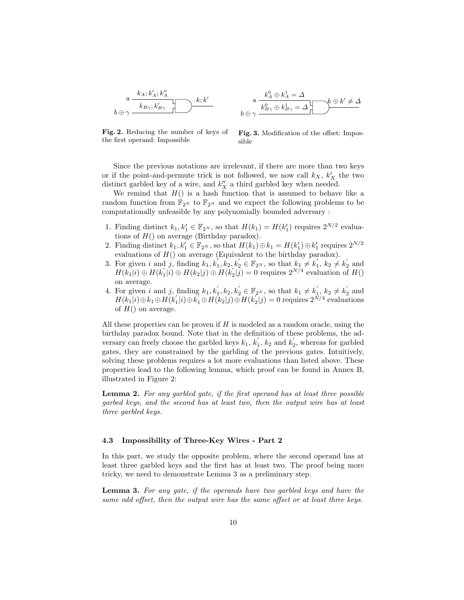$$
\begin{array}{c}\n\text{a} \quad \frac{k_A; k_A'; k_A''}{k_{B\gamma}; k_{B\gamma}'} & \\
b \oplus \gamma \end{array} \qquad \qquad \text{ $k$} ; k' \qquad \qquad \text{}
$$

a  $b \oplus \gamma$  $k^0_A \oplus k^1_A = \Delta$  $k_{B\gamma}^0\oplus k_{B\gamma}^1=\varDelta$  $k \oplus k' \neq \Delta$ 

Fig. 2. Reducing the number of keys of the first operand: Impossible

Fig. 3. Modification of the offset: Impossible

Since the previous notations are irrelevant, if there are more than two keys or if the point-and-permute trick is not followed, we now call  $k_X$ ,  $k'_X$  the two distinct garbled key of a wire, and  $k_X''$  a third garbled key when needed.

We remind that  $H()$  is a hash function that is assumed to behave like a random function from  $\mathbb{F}_{2^N}$  to  $\mathbb{F}_{2^N}$  and we expect the following problems to be computationally unfeasible by any polynomially bounded adversary :

- 1. Finding distinct  $k_1, k'_1 \in \mathbb{F}_{2^N}$ , so that  $H(k_1) = H(k'_1)$  requires  $2^{N/2}$  evaluations of  $H()$  on average (Birthday paradox).
- 2. Finding distinct  $k_1, k'_1 \in \mathbb{F}_{2^N}$ , so that  $H(k_1) \oplus k_1 = H(k'_1) \oplus k'_1$  requires  $2^{N/2}$ evaluations of  $H()$  on average (Equivalent to the birthday paradox).
- 3. For given i and j, finding  $k_1, k'_1, k_2, k'_2 \in \mathbb{F}_{2^N}$ , so that  $k_1 \neq k'_1$ ,  $k_2 \neq k'_2$  and  $H(k_1|i) \oplus H(k'_1|i) \oplus H(k'_2|j) \oplus H(k'_2|j) = 0$  requires  $2^{N/4}$  evaluation of  $H()$ on average.
- 4. For given i and j, finding  $k_1, k'_1, k_2, k'_2 \in \mathbb{F}_{2^N}$ , so that  $k_1 \neq k'_1$ ,  $k_2 \neq k'_2$  and  $H(k_1|i) \oplus k_1 \oplus H(k'_1|i) \oplus k'_1 \oplus H(k_2|j) \oplus H(k'_2|j) = 0$  requires  $2^{\tilde{N}/4}$  evaluations of  $H()$  on average.

All these properties can be proven if  $H$  is modeled as a random oracle, using the birthday paradox bound. Note that in the definition of these problems, the adversary can freely choose the garbled keys  $k_1$ ,  $k'_1$ ,  $k_2$  and  $k'_2$ , whereas for garbled gates, they are constrained by the garbling of the previous gates. Intuitively, solving these problems requires a lot more evaluations than listed above. These properties lead to the following lemma, which proof can be found in Annex B, illustrated in Figure 2:

Lemma 2. For any garbled gate, if the first operand has at least three possible garbed keys, and the second has at least two, then the output wire has at least three garbled keys.

## 4.3 Impossibility of Three-Key Wires - Part 2

In this part, we study the opposite problem, where the second operand has at least three garbled keys and the first has at least two. The proof being more tricky, we need to demonstrate Lemma 3 as a preliminary step.

Lemma 3. For any gate, if the operands have two garbled keys and have the same odd offset, then the output wire has the same offset or at least three keys.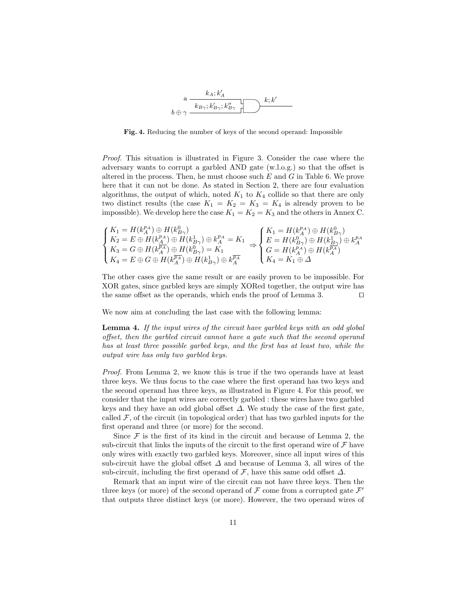

Fig. 4. Reducing the number of keys of the second operand: Impossible

Proof. This situation is illustrated in Figure 3. Consider the case where the adversary wants to corrupt a garbled AND gate (w.l.o.g.) so that the offset is altered in the process. Then, he must choose such  $E$  and  $G$  in Table 6. We prove here that it can not be done. As stated in Section 2, there are four evaluation algorithms, the output of which, noted  $K_1$  to  $K_4$  collide so that there are only two distinct results (the case  $K_1 = K_2 = K_3 = K_4$  is already proven to be impossible). We develop here the case  $K_1 = K_2 = K_3$  and the others in Annex C.

$$
\left\{ \begin{aligned} &K_1=H(k_A^{p_A})\oplus H(k_{B\gamma}^0)\\ &K_2=E\oplus H(k_A^{p_A})\oplus H(k_{B\gamma}^1)\oplus k_A^{p_A}=K_1\\ &K_3=G\oplus H(k_A^{\overline{p_A}})\oplus H(k_{B\gamma}^0)=K_1\\ &K_4=E\oplus G\oplus H(k_A^{\overline{p_A}})\oplus H(k_{B\gamma}^1)\oplus H(k_{B\gamma}^1)\oplus k_A^{\overline{p_A}} \end{aligned} \right\} \Rightarrow \left\{ \begin{aligned} &K_1=H(k_A^{p_A})\oplus H(k_B^{p_A})\\ &E=H(k_B^{p_A})\oplus H(k_{B\gamma}^1)\oplus k_A^{p_A}\\ &G=H(k_A^{p_A})\oplus H(k_A^{\overline{p_A}}) \end{aligned} \right.
$$

The other cases give the same result or are easily proven to be impossible. For XOR gates, since garbled keys are simply XORed together, the output wire has the same offset as the operands, which ends the proof of Lemma 3.  $\Box$ 

We now aim at concluding the last case with the following lemma:

Lemma 4. If the input wires of the circuit have garbled keys with an odd global offset, then the garbled circuit cannot have a gate such that the second operand has at least three possible garbed keys, and the first has at least two, while the output wire has only two garbled keys.

Proof. From Lemma 2, we know this is true if the two operands have at least three keys. We thus focus to the case where the first operand has two keys and the second operand has three keys, as illustrated in Figure 4. For this proof, we consider that the input wires are correctly garbled : these wires have two garbled keys and they have an odd global offset ∆. We study the case of the first gate, called  $\mathcal F$ , of the circuit (in topological order) that has two garbled inputs for the first operand and three (or more) for the second.

Since  $\mathcal F$  is the first of its kind in the circuit and because of Lemma 2, the sub-circuit that links the inputs of the circuit to the first operand wire of  $\mathcal F$  have only wires with exactly two garbled keys. Moreover, since all input wires of this sub-circuit have the global offset  $\Delta$  and because of Lemma 3, all wires of the sub-circuit, including the first operand of  $\mathcal{F}$ , have this same odd offset  $\Delta$ .

Remark that an input wire of the circuit can not have three keys. Then the three keys (or more) of the second operand of  $\mathcal F$  come from a corrupted gate  $\mathcal F'$ that outputs three distinct keys (or more). However, the two operand wires of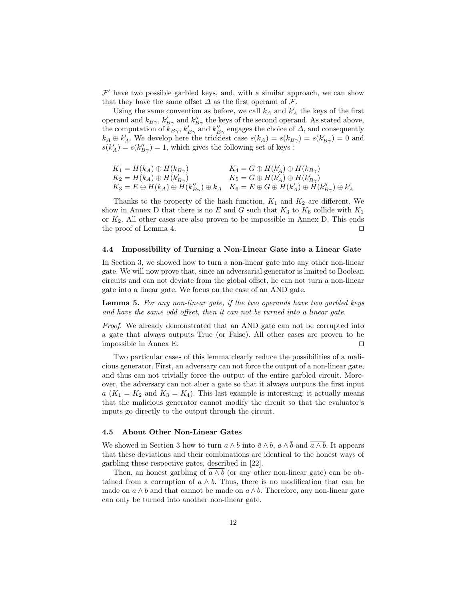$\mathcal{F}'$  have two possible garbled keys, and, with a similar approach, we can show that they have the same offset  $\Delta$  as the first operand of  $\mathcal{F}$ .

Using the same convention as before, we call  $k_A$  and  $k_A'$  the keys of the first operand and  $k_{B\gamma}$ ,  $k'_{B\gamma}$  and  $k''_{B\gamma}$  the keys of the second operand. As stated above, the computation of  $k_{B\gamma}$ ,  $k_{B\gamma}'$  and  $k_{B\gamma}''$  engages the choice of  $\Delta$ , and consequently  $k_A \oplus k'_A$ . We develop here the trickiest case  $s(k_A) = s(k_{B\gamma}) = s(k'_{B\gamma}) = 0$  and  $s(k'_A) = s(k''_{B\gamma}) = 1$ , which gives the following set of keys:

$$
\begin{array}{ll} K_1=H(k_A)\oplus H(k_{B\gamma}) & K_4=G\oplus H(k'_A)\oplus H(k_{B\gamma})\\ K_2=H(k_A)\oplus H(k'_{B\gamma}) & K_5=G\oplus H(k'_A)\oplus H(k'_{B\gamma})\\ K_3=E\oplus H(k_A)\oplus H(k''_{B\gamma})\oplus k_A & K_6=E\oplus G\oplus H(k'_A)\oplus H(k''_{B\gamma})\oplus k'_A \end{array}
$$

Thanks to the property of the hash function,  $K_1$  and  $K_2$  are different. We show in Annex D that there is no E and G such that  $K_3$  to  $K_6$  collide with  $K_1$ or  $K_2$ . All other cases are also proven to be impossible in Annex D. This ends the proof of Lemma 4.  $\Box$ 

#### 4.4 Impossibility of Turning a Non-Linear Gate into a Linear Gate

In Section 3, we showed how to turn a non-linear gate into any other non-linear gate. We will now prove that, since an adversarial generator is limited to Boolean circuits and can not deviate from the global offset, he can not turn a non-linear gate into a linear gate. We focus on the case of an AND gate.

Lemma 5. For any non-linear gate, if the two operands have two garbled keys and have the same odd offset, then it can not be turned into a linear gate.

Proof. We already demonstrated that an AND gate can not be corrupted into a gate that always outputs True (or False). All other cases are proven to be impossible in Annex E.  $\Box$ 

Two particular cases of this lemma clearly reduce the possibilities of a malicious generator. First, an adversary can not force the output of a non-linear gate, and thus can not trivially force the output of the entire garbled circuit. Moreover, the adversary can not alter a gate so that it always outputs the first input  $a (K_1 = K_2 \text{ and } K_3 = K_4).$  This last example is interesting: it actually means that the malicious generator cannot modify the circuit so that the evaluator's inputs go directly to the output through the circuit.

## 4.5 About Other Non-Linear Gates

We showed in Section 3 how to turn  $a \wedge b$  into  $\bar{a} \wedge b$ ,  $a \wedge \bar{b}$  and  $\bar{a} \wedge \bar{b}$ . It appears that these deviations and their combinations are identical to the honest ways of garbling these respective gates, described in [22].

Then, an honest garbling of  $\overline{a \wedge b}$  (or any other non-linear gate) can be obtained from a corruption of  $a \wedge b$ . Thus, there is no modification that can be made on  $\overline{a \wedge b}$  and that cannot be made on  $a \wedge b$ . Therefore, any non-linear gate can only be turned into another non-linear gate.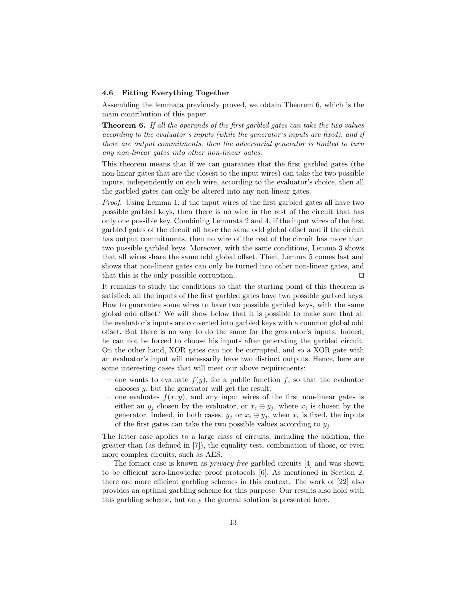## 4.6 Fitting Everything Together

Assembling the lemmata previously proved, we obtain Theorem 6, which is the main contribution of this paper.

Theorem 6. If all the operands of the first garbled gates can take the two values according to the evaluator's inputs (while the generator's inputs are fixed), and if there are output commitments, then the adversarial generator is limited to turn any non-linear gates into other non-linear gates.

This theorem means that if we can guarantee that the first garbled gates (the non-linear gates that are the closest to the input wires) can take the two possible inputs, independently on each wire, according to the evaluator's choice, then all the garbled gates can only be altered into any non-linear gates.

Proof. Using Lemma 1, if the input wires of the first garbled gates all have two possible garbled keys, then there is no wire in the rest of the circuit that has only one possible key. Combining Lemmata 2 and 4, if the input wires of the first garbled gates of the circuit all have the same odd global offset and if the circuit has output commitments, then no wire of the rest of the circuit has more than two possible garbled keys. Moreover, with the same conditions, Lemma 3 shows that all wires share the same odd global offset. Then, Lemma 5 comes last and shows that non-linear gates can only be turned into other non-linear gates, and that this is the only possible corruption.  $\Box$ 

It remains to study the conditions so that the starting point of this theorem is satisfied: all the inputs of the first garbled gates have two possible garbled keys. How to guarantee some wires to have two possible garbled keys, with the same global odd offset? We will show below that it is possible to make sure that all the evaluator's inputs are converted into garbled keys with a common global odd offset. But there is no way to do the same for the generator's inputs. Indeed, he can not be forced to choose his inputs after generating the garbled circuit. On the other hand, XOR gates can not be corrupted, and so a XOR gate with an evaluator's input will necessarily have two distinct outputs. Hence, here are some interesting cases that will meet our above requirements:

- one wants to evaluate  $f(y)$ , for a public function f, so that the evaluator chooses  $y$ , but the generator will get the result;
- one evaluates  $f(x, y)$ , and any input wires of the first non-linear gates is either an  $y_j$  chosen by the evaluator, or  $x_i \oplus y_j$ , where  $x_i$  is chosen by the generator. Indeed, in both cases,  $y_j$  or  $x_i \oplus y_j$ , when  $x_i$  is fixed, the inputs of the first gates can take the two possible values according to  $y_i$ .

The latter case applies to a large class of circuits, including the addition, the greater-than (as defined in [7]), the equality test, combination of those, or even more complex circuits, such as AES.

The former case is known as privacy-free garbled circuits [4] and was shown to be efficient zero-knowledge proof protocols [6]. As mentioned in Section 2, there are more efficient garbling schemes in this context. The work of [22] also provides an optimal garbling scheme for this purpose. Our results also hold with this garbling scheme, but only the general solution is presented here.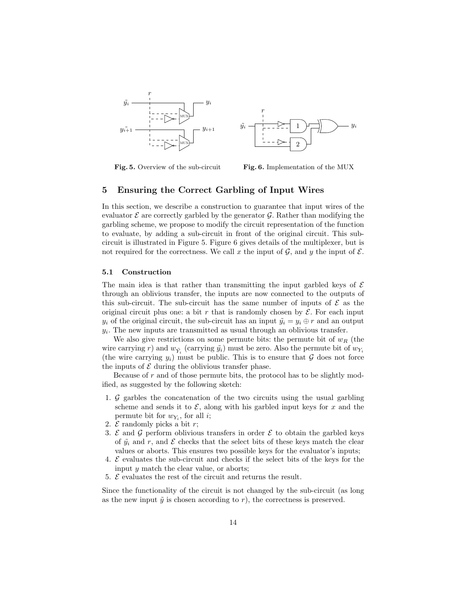



Fig. 5. Overview of the sub-circuit

Fig. 6. Implementation of the MUX

## 5 Ensuring the Correct Garbling of Input Wires

In this section, we describe a construction to guarantee that input wires of the evaluator  $\mathcal E$  are correctly garbled by the generator  $\mathcal G$ . Rather than modifying the garbling scheme, we propose to modify the circuit representation of the function to evaluate, by adding a sub-circuit in front of the original circuit. This subcircuit is illustrated in Figure 5. Figure 6 gives details of the multiplexer, but is not required for the correctness. We call x the input of  $\mathcal{G}$ , and  $\eta$  the input of  $\mathcal{E}$ .

## 5.1 Construction

The main idea is that rather than transmitting the input garbled keys of  $\mathcal E$ through an oblivious transfer, the inputs are now connected to the outputs of this sub-circuit. The sub-circuit has the same number of inputs of  $\mathcal E$  as the original circuit plus one: a bit r that is randomly chosen by  $\mathcal{E}$ . For each input  $y_i$  of the original circuit, the sub-circuit has an input  $\tilde{y}_i = y_i \oplus r$  and an output  $y_i$ . The new inputs are transmitted as usual through an oblivious transfer.

We also give restrictions on some permute bits: the permute bit of  $w_R$  (the wire carrying r) and  $w_{\tilde{Y}_i}$  (carrying  $\tilde{y}_i$ ) must be zero. Also the permute bit of  $w_{Y_i}$ (the wire carrying  $y_i$ ) must be public. This is to ensure that  $\mathcal G$  does not force the inputs of  $\mathcal E$  during the oblivious transfer phase.

Because of  $r$  and of those permute bits, the protocol has to be slightly modified, as suggested by the following sketch:

- 1. G garbles the concatenation of the two circuits using the usual garbling scheme and sends it to  $\mathcal{E}$ , along with his garbled input keys for x and the permute bit for  $w_{Y_i}$ , for all *i*;
- 2.  $\mathcal E$  randomly picks a bit r;
- 3.  $\mathcal E$  and  $\mathcal G$  perform oblivious transfers in order  $\mathcal E$  to obtain the garbled keys of  $\tilde{y}_i$  and r, and  $\mathcal E$  checks that the select bits of these keys match the clear values or aborts. This ensures two possible keys for the evaluator's inputs;
- 4. E evaluates the sub-circuit and checks if the select bits of the keys for the input y match the clear value, or aborts;
- 5.  $\mathcal E$  evaluates the rest of the circuit and returns the result.

Since the functionality of the circuit is not changed by the sub-circuit (as long as the new input  $\tilde{y}$  is chosen according to r), the correctness is preserved.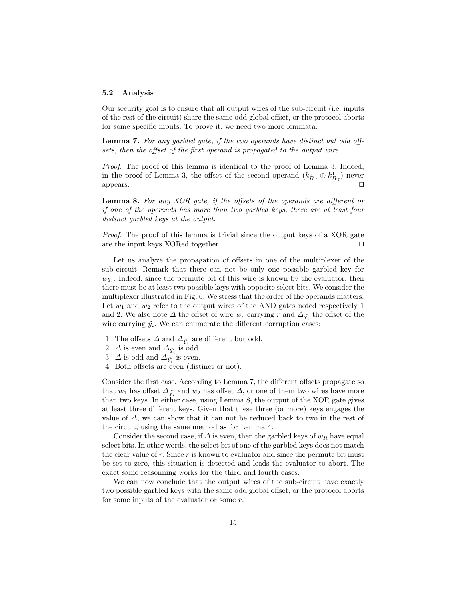#### 5.2 Analysis

Our security goal is to ensure that all output wires of the sub-circuit (i.e. inputs of the rest of the circuit) share the same odd global offset, or the protocol aborts for some specific inputs. To prove it, we need two more lemmata.

**Lemma 7.** For any garbled gate, if the two operands have distinct but odd offsets, then the offset of the first operand is propagated to the output wire.

Proof. The proof of this lemma is identical to the proof of Lemma 3. Indeed, in the proof of Lemma 3, the offset of the second operand  $(k_{B\gamma}^0 \oplus k_{B\gamma}^1)$  never appears.  $\Box$ 

Lemma 8. For any XOR gate, if the offsets of the operands are different or if one of the operands has more than two garbled keys, there are at least four distinct garbled keys at the output.

Proof. The proof of this lemma is trivial since the output keys of a XOR gate are the input keys XORed together.  $\square$ 

Let us analyze the propagation of offsets in one of the multiplexer of the sub-circuit. Remark that there can not be only one possible garbled key for  $w_{Y_i}$ . Indeed, since the permute bit of this wire is known by the evaluator, then there must be at least two possible keys with opposite select bits. We consider the multiplexer illustrated in Fig. 6. We stress that the order of the operands matters. Let  $w_1$  and  $w_2$  refer to the output wires of the AND gates noted respectively 1 and 2. We also note  $\Delta$  the offset of wire  $w_r$  carrying r and  $\Delta_{\tilde{Y}_i}$  the offset of the wire carrying  $\tilde{y}_i$ . We can enumerate the different corruption cases:

- 1. The offsets  $\Delta$  and  $\Delta_{\tilde{Y}_i}$  are different but odd.
- 2.  $\Delta$  is even and  $\Delta_{\tilde{Y}_i}$  is odd.
- 3.  $\Delta$  is odd and  $\Delta_{\tilde{Y}_i}$  is even.
- 4. Both offsets are even (distinct or not).

Consider the first case. According to Lemma 7, the different offsets propagate so that  $w_1$  has offset  $\Delta_{\tilde{Y}_i}$  and  $w_2$  has offset  $\Delta$ , or one of them two wires have more than two keys. In either case, using Lemma 8, the output of the XOR gate gives at least three different keys. Given that these three (or more) keys engages the value of  $\Delta$ , we can show that it can not be reduced back to two in the rest of the circuit, using the same method as for Lemma 4.

Consider the second case, if  $\Delta$  is even, then the garbled keys of  $w_R$  have equal select bits. In other words, the select bit of one of the garbled keys does not match the clear value of  $r$ . Since  $r$  is known to evaluator and since the permute bit must be set to zero, this situation is detected and leads the evaluator to abort. The exact same reasonning works for the third and fourth cases.

We can now conclude that the output wires of the sub-circuit have exactly two possible garbled keys with the same odd global offset, or the protocol aborts for some inputs of the evaluator or some r.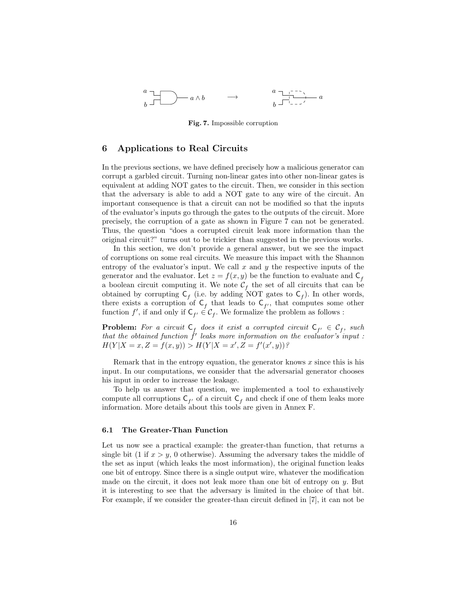$$
\begin{array}{ccc}\n a & \searrow \\
 b & \searrow \\
\end{array}\n \qquad\n \begin{array}{ccc}\n a & \searrow & \\
 & \searrow & \\
 & b & \searrow & \\
 & \searrow & \\
 & \searrow & \\
 & \searrow & \\
 & \searrow & \\
 & \searrow & \\
 & \searrow & \\
 & \searrow & \\
 & \searrow & \\
 & \searrow & \\
 & \searrow & \\
 & \searrow & \\
 & \searrow & \\
 & \searrow & \\
 & \searrow & \\
 & \searrow & \\
 & \searrow & \\
 & \searrow & \\
 & \searrow & \\
 & \searrow & \\
 & \searrow & \\
 & \searrow & \\
 & \searrow & \\
 & \searrow & \\
 & \searrow & \\
 & \searrow & \\
 & \searrow & \\
 & \searrow & \\
 & \searrow & \\
 & \searrow & \\
 & \searrow & \\
 & \searrow & \\
 & \searrow & \\
 & \searrow & \\
 & \searrow & \\
 & \searrow & \\
 & \searrow & \\
 & \searrow & \\
 & \searrow & \\
 & \searrow & \\
 & \searrow & \\
 & \searrow & \\
 & \searrow & \\
 & \searrow & \\
 & \searrow & \\
 & \searrow & \\
 & \searrow & \\
 & \searrow & \\
 & \searrow & \\
 & \searrow & \\
 & \searrow & \\
 & \searrow & \\
 & \searrow & \\
 & \searrow & \\
 & \searrow & \\
 & \searrow & \\
 & \searrow & \\
 & \searrow & \\
 & \searrow & \\
 & \searrow & \\
 & \searrow & \\
 & \searrow & \\
 & \searrow & \\
 & \searrow & \\
 & \searrow & \\
 & \searrow & \\
 & \searrow & \\
 & \searrow & \\
 & \searrow & \\
 &
$$

Fig. 7. Impossible corruption

## 6 Applications to Real Circuits

In the previous sections, we have defined precisely how a malicious generator can corrupt a garbled circuit. Turning non-linear gates into other non-linear gates is equivalent at adding NOT gates to the circuit. Then, we consider in this section that the adversary is able to add a NOT gate to any wire of the circuit. An important consequence is that a circuit can not be modified so that the inputs of the evaluator's inputs go through the gates to the outputs of the circuit. More precisely, the corruption of a gate as shown in Figure 7 can not be generated. Thus, the question "does a corrupted circuit leak more information than the original circuit?" turns out to be trickier than suggested in the previous works.

In this section, we don't provide a general answer, but we see the impact of corruptions on some real circuits. We measure this impact with the Shannon entropy of the evaluator's input. We call  $x$  and  $y$  the respective inputs of the generator and the evaluator. Let  $z = f(x, y)$  be the function to evaluate and  $C_f$ a boolean circuit computing it. We note  $\mathcal{C}_f$  the set of all circuits that can be obtained by corrupting  $C_f$  (i.e. by adding NOT gates to  $C_f$ ). In other words, there exists a corruption of  $C_f$  that leads to  $C_{f'}$ , that computes some other function f', if and only if  $C_{f'} \in C_f$ . We formalize the problem as follows:

**Problem:** For a circuit  $C_f$  does it exist a corrupted circuit  $C_{f'} \in C_f$ , such that the obtained function  $\ddot{f}'$  leaks more information on the evaluator's input :  $H(Y|X=x, Z=f(x, y)) > H(Y|X=x', Z=f'(x', y))$ ?

Remark that in the entropy equation, the generator knows  $x$  since this is his input. In our computations, we consider that the adversarial generator chooses his input in order to increase the leakage.

To help us answer that question, we implemented a tool to exhaustively compute all corruptions  $C_{f'}$  of a circuit  $C_f$  and check if one of them leaks more information. More details about this tools are given in Annex F.

## 6.1 The Greater-Than Function

Let us now see a practical example: the greater-than function, that returns a single bit (1 if  $x > y$ , 0 otherwise). Assuming the adversary takes the middle of the set as input (which leaks the most information), the original function leaks one bit of entropy. Since there is a single output wire, whatever the modification made on the circuit, it does not leak more than one bit of entropy on  $y$ . But it is interesting to see that the adversary is limited in the choice of that bit. For example, if we consider the greater-than circuit defined in [7], it can not be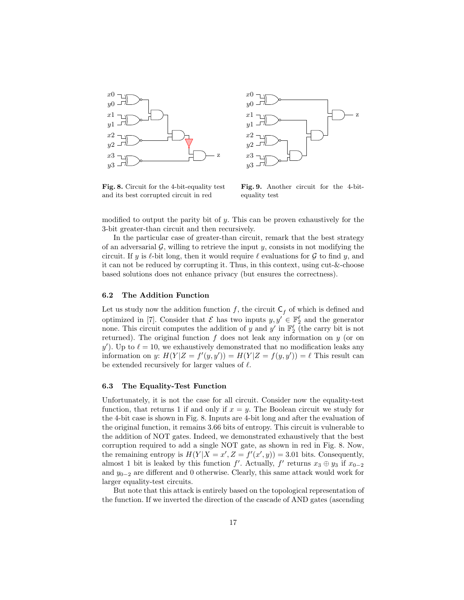



Fig. 8. Circuit for the 4-bit-equality test and its best corrupted circuit in red

Fig. 9. Another circuit for the 4-bitequality test

modified to output the parity bit of  $y$ . This can be proven exhaustively for the 3-bit greater-than circuit and then recursively.

In the particular case of greater-than circuit, remark that the best strategy of an adversarial  $\mathcal{G}$ , willing to retrieve the input y, consists in not modifying the circuit. If y is  $\ell$ -bit long, then it would require  $\ell$  evaluations for G to find y, and it can not be reduced by corrupting it. Thus, in this context, using cut-&-choose based solutions does not enhance privacy (but ensures the correctness).

#### 6.2 The Addition Function

Let us study now the addition function  $f$ , the circuit  $\mathsf{C}_f$  of which is defined and optimized in [7]. Consider that  $\mathcal E$  has two inputs  $y, y' \in \mathbb F_2^{\ell}$  and the generator none. This circuit computes the addition of y and y' in  $\mathbb{F}_2^{\ell}$  (the carry bit is not returned). The original function  $f$  does not leak any information on  $y$  (or on y'). Up to  $\ell = 10$ , we exhaustively demonstrated that no modification leaks any information on y:  $H(Y|Z = f'(y, y')) = H(Y|Z = f(y, y')) = \ell$  This result can be extended recursively for larger values of  $\ell$ .

#### 6.3 The Equality-Test Function

Unfortunately, it is not the case for all circuit. Consider now the equality-test function, that returns 1 if and only if  $x = y$ . The Boolean circuit we study for the 4-bit case is shown in Fig. 8. Inputs are 4-bit long and after the evaluation of the original function, it remains 3.66 bits of entropy. This circuit is vulnerable to the addition of NOT gates. Indeed, we demonstrated exhaustively that the best corruption required to add a single NOT gate, as shown in red in Fig. 8. Now, the remaining entropy is  $H(Y|X=x', Z=f'(x', y)) = 3.01$  bits. Consequently, almost 1 bit is leaked by this function  $f'$ . Actually,  $f'$  returns  $x_3 \oplus y_3$  if  $x_{0-2}$ and  $y_{0-2}$  are different and 0 otherwise. Clearly, this same attack would work for larger equality-test circuits.

But note that this attack is entirely based on the topological representation of the function. If we inverted the direction of the cascade of AND gates (ascending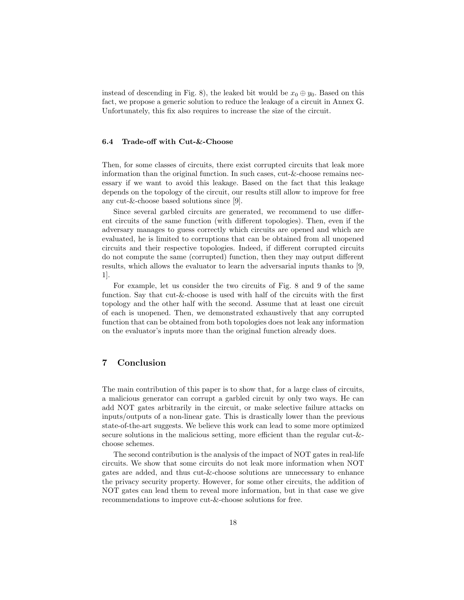instead of descending in Fig. 8), the leaked bit would be  $x_0 \oplus y_0$ . Based on this fact, we propose a generic solution to reduce the leakage of a circuit in Annex G. Unfortunately, this fix also requires to increase the size of the circuit.

## 6.4 Trade-off with Cut-&-Choose

Then, for some classes of circuits, there exist corrupted circuits that leak more information than the original function. In such cases, cut-&-choose remains necessary if we want to avoid this leakage. Based on the fact that this leakage depends on the topology of the circuit, our results still allow to improve for free any cut-&-choose based solutions since [9].

Since several garbled circuits are generated, we recommend to use different circuits of the same function (with different topologies). Then, even if the adversary manages to guess correctly which circuits are opened and which are evaluated, he is limited to corruptions that can be obtained from all unopened circuits and their respective topologies. Indeed, if different corrupted circuits do not compute the same (corrupted) function, then they may output different results, which allows the evaluator to learn the adversarial inputs thanks to [9, 1].

For example, let us consider the two circuits of Fig. 8 and 9 of the same function. Say that cut-&-choose is used with half of the circuits with the first topology and the other half with the second. Assume that at least one circuit of each is unopened. Then, we demonstrated exhaustively that any corrupted function that can be obtained from both topologies does not leak any information on the evaluator's inputs more than the original function already does.

# 7 Conclusion

The main contribution of this paper is to show that, for a large class of circuits, a malicious generator can corrupt a garbled circuit by only two ways. He can add NOT gates arbitrarily in the circuit, or make selective failure attacks on inputs/outputs of a non-linear gate. This is drastically lower than the previous state-of-the-art suggests. We believe this work can lead to some more optimized secure solutions in the malicious setting, more efficient than the regular cut-& choose schemes.

The second contribution is the analysis of the impact of NOT gates in real-life circuits. We show that some circuits do not leak more information when NOT gates are added, and thus cut-&-choose solutions are unnecessary to enhance the privacy security property. However, for some other circuits, the addition of NOT gates can lead them to reveal more information, but in that case we give recommendations to improve cut-&-choose solutions for free.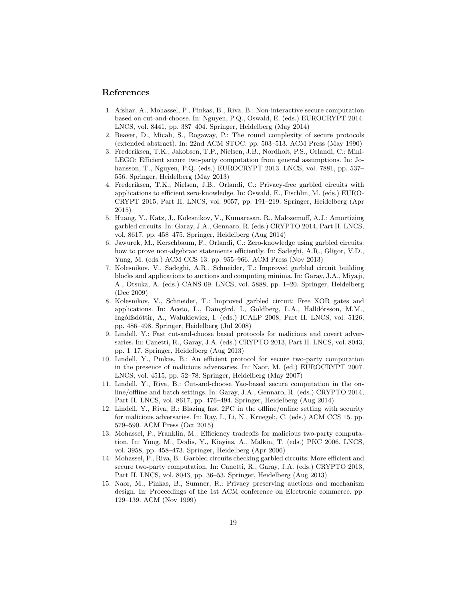## References

- 1. Afshar, A., Mohassel, P., Pinkas, B., Riva, B.: Non-interactive secure computation based on cut-and-choose. In: Nguyen, P.Q., Oswald, E. (eds.) EUROCRYPT 2014. LNCS, vol. 8441, pp. 387–404. Springer, Heidelberg (May 2014)
- 2. Beaver, D., Micali, S., Rogaway, P.: The round complexity of secure protocols (extended abstract). In: 22nd ACM STOC. pp. 503–513. ACM Press (May 1990)
- 3. Frederiksen, T.K., Jakobsen, T.P., Nielsen, J.B., Nordholt, P.S., Orlandi, C.: Mini-LEGO: Efficient secure two-party computation from general assumptions. In: Johansson, T., Nguyen, P.Q. (eds.) EUROCRYPT 2013. LNCS, vol. 7881, pp. 537– 556. Springer, Heidelberg (May 2013)
- 4. Frederiksen, T.K., Nielsen, J.B., Orlandi, C.: Privacy-free garbled circuits with applications to efficient zero-knowledge. In: Oswald, E., Fischlin, M. (eds.) EURO-CRYPT 2015, Part II. LNCS, vol. 9057, pp. 191–219. Springer, Heidelberg (Apr 2015)
- 5. Huang, Y., Katz, J., Kolesnikov, V., Kumaresan, R., Malozemoff, A.J.: Amortizing garbled circuits. In: Garay, J.A., Gennaro, R. (eds.) CRYPTO 2014, Part II. LNCS, vol. 8617, pp. 458–475. Springer, Heidelberg (Aug 2014)
- 6. Jawurek, M., Kerschbaum, F., Orlandi, C.: Zero-knowledge using garbled circuits: how to prove non-algebraic statements efficiently. In: Sadeghi, A.R., Gligor, V.D., Yung, M. (eds.) ACM CCS 13. pp. 955–966. ACM Press (Nov 2013)
- 7. Kolesnikov, V., Sadeghi, A.R., Schneider, T.: Improved garbled circuit building blocks and applications to auctions and computing minima. In: Garay, J.A., Miyaji, A., Otsuka, A. (eds.) CANS 09. LNCS, vol. 5888, pp. 1–20. Springer, Heidelberg (Dec 2009)
- 8. Kolesnikov, V., Schneider, T.: Improved garbled circuit: Free XOR gates and applications. In: Aceto, L., Damgård, I., Goldberg, L.A., Halldórsson, M.M., Ing´olfsd´ottir, A., Walukiewicz, I. (eds.) ICALP 2008, Part II. LNCS, vol. 5126, pp. 486–498. Springer, Heidelberg (Jul 2008)
- 9. Lindell, Y.: Fast cut-and-choose based protocols for malicious and covert adversaries. In: Canetti, R., Garay, J.A. (eds.) CRYPTO 2013, Part II. LNCS, vol. 8043, pp. 1–17. Springer, Heidelberg (Aug 2013)
- 10. Lindell, Y., Pinkas, B.: An efficient protocol for secure two-party computation in the presence of malicious adversaries. In: Naor, M. (ed.) EUROCRYPT 2007. LNCS, vol. 4515, pp. 52–78. Springer, Heidelberg (May 2007)
- 11. Lindell, Y., Riva, B.: Cut-and-choose Yao-based secure computation in the online/offline and batch settings. In: Garay, J.A., Gennaro, R. (eds.) CRYPTO 2014, Part II. LNCS, vol. 8617, pp. 476–494. Springer, Heidelberg (Aug 2014)
- 12. Lindell, Y., Riva, B.: Blazing fast 2PC in the offline/online setting with security for malicious adversaries. In: Ray, I., Li, N., Kruegel:, C. (eds.) ACM CCS 15. pp. 579–590. ACM Press (Oct 2015)
- 13. Mohassel, P., Franklin, M.: Efficiency tradeoffs for malicious two-party computation. In: Yung, M., Dodis, Y., Kiayias, A., Malkin, T. (eds.) PKC 2006. LNCS, vol. 3958, pp. 458–473. Springer, Heidelberg (Apr 2006)
- 14. Mohassel, P., Riva, B.: Garbled circuits checking garbled circuits: More efficient and secure two-party computation. In: Canetti, R., Garay, J.A. (eds.) CRYPTO 2013, Part II. LNCS, vol. 8043, pp. 36–53. Springer, Heidelberg (Aug 2013)
- 15. Naor, M., Pinkas, B., Sumner, R.: Privacy preserving auctions and mechanism design. In: Proceedings of the 1st ACM conference on Electronic commerce. pp. 129–139. ACM (Nov 1999)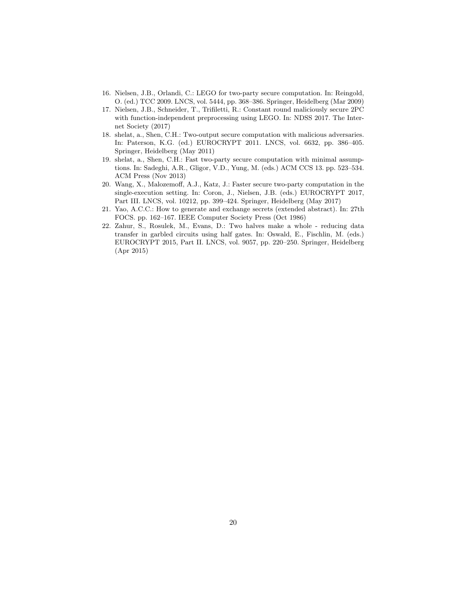- 16. Nielsen, J.B., Orlandi, C.: LEGO for two-party secure computation. In: Reingold, O. (ed.) TCC 2009. LNCS, vol. 5444, pp. 368–386. Springer, Heidelberg (Mar 2009)
- 17. Nielsen, J.B., Schneider, T., Trifiletti, R.: Constant round maliciously secure 2PC with function-independent preprocessing using LEGO. In: NDSS 2017. The Internet Society (2017)
- 18. shelat, a., Shen, C.H.: Two-output secure computation with malicious adversaries. In: Paterson, K.G. (ed.) EUROCRYPT 2011. LNCS, vol. 6632, pp. 386–405. Springer, Heidelberg (May 2011)
- 19. shelat, a., Shen, C.H.: Fast two-party secure computation with minimal assumptions. In: Sadeghi, A.R., Gligor, V.D., Yung, M. (eds.) ACM CCS 13. pp. 523–534. ACM Press (Nov 2013)
- 20. Wang, X., Malozemoff, A.J., Katz, J.: Faster secure two-party computation in the single-execution setting. In: Coron, J., Nielsen, J.B. (eds.) EUROCRYPT 2017, Part III. LNCS, vol. 10212, pp. 399–424. Springer, Heidelberg (May 2017)
- 21. Yao, A.C.C.: How to generate and exchange secrets (extended abstract). In: 27th FOCS. pp. 162–167. IEEE Computer Society Press (Oct 1986)
- 22. Zahur, S., Rosulek, M., Evans, D.: Two halves make a whole reducing data transfer in garbled circuits using half gates. In: Oswald, E., Fischlin, M. (eds.) EUROCRYPT 2015, Part II. LNCS, vol. 9057, pp. 220–250. Springer, Heidelberg (Apr 2015)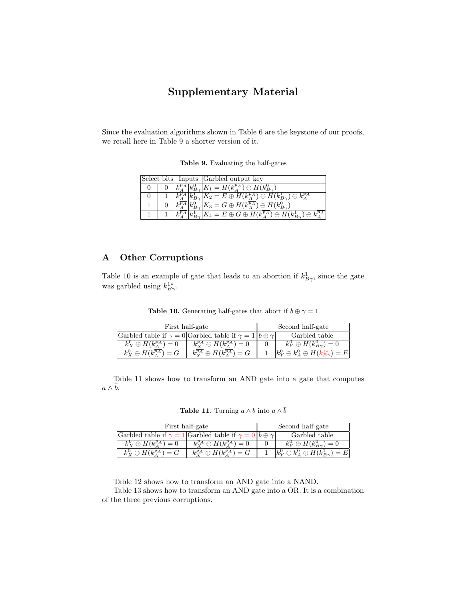# Supplementary Material

Since the evaluation algorithms shown in Table 6 are the keystone of our proofs, we recall here in Table 9 a shorter version of it.

Table 9. Evaluating the half-gates

|          |  | Select bits Inputs Garbled output key                                                                                                                              |
|----------|--|--------------------------------------------------------------------------------------------------------------------------------------------------------------------|
| $\theta$ |  | $ k_A^{p_A}  k_{B\gamma}^0 K_1 = H(k_A^{p_A}) \oplus H(k_{B\gamma}^0)$                                                                                             |
|          |  | $\frac{1}{(k_A^p k_{B\gamma}^1   k_{B\gamma}^1   K_2} = E \oplus H(k_A^{p_A}) \oplus H(k_{B\gamma}^1) \oplus k_A^{p_A})$                                           |
|          |  | $\big k_A^{\overline{p_A}}\big k_{B\gamma}^0\big K_3=G\oplus H(k_A^{\overline{p_A}})\oplus H(k_{B\gamma}^0)$                                                       |
|          |  | $\big k_A^{\overline{p_A}}\big k_{B\gamma}^{1}\big K_4 = E\oplus G\oplus \overline{H(k_A^{\overline{p_A}})} \oplus H(k_{B\gamma}^{1}) \oplus k_A^{\overline{p_A}}$ |

# A Other Corruptions

Table 10 is an example of gate that leads to an abortion if  $k_{B\gamma}^1$ , since the gate was garbled using  $k_{B\gamma}^{1*}$ .

**Table 10.** Generating half-gates that abort if  $b \oplus \gamma = 1$ 

| First half-gate                 |                                                                                 |  | Second half-gate                                      |  |
|---------------------------------|---------------------------------------------------------------------------------|--|-------------------------------------------------------|--|
|                                 | Garbled table if $\gamma = 0$ Garbled table if $\gamma = 1  b \oplus \gamma  $  |  | Garbled table                                         |  |
| $k_X^0 \oplus H(k_A^{p_A}) = 0$ | $k_{X}^{p_{A}} \oplus H(k_{A}^{p_{A}}) = 0$                                     |  | $k_Y^0 \oplus H(k_{B\gamma}^0) = 0$                   |  |
| $k_X^0 \oplus H(k_A^{p_A}) = G$ | $k_{\mathbf{y}}^{\overline{p_A}} \oplus H(k_{\mathbf{A}}^{\overline{p_A}}) = G$ |  | $ k_Y^0 \oplus k_A^0 \oplus H(k_{B\gamma}^{1*}) = E $ |  |

Table 11 shows how to transform an AND gate into a gate that computes  $a \wedge \overline{b}$ .

**Table 11.** Turning  $a \wedge b$  into  $a \wedge \overline{b}$ 

| First half-gate                                                                 |                                                                   |  | Second half-gate                                 |  |  |
|---------------------------------------------------------------------------------|-------------------------------------------------------------------|--|--------------------------------------------------|--|--|
| Garbled table if $\gamma = 1$ Garbled table if $\gamma = 0$ $ b \oplus \gamma $ |                                                                   |  | Garbled table                                    |  |  |
| $k_X^0 \oplus H(k_A^{p_A}) = 0$                                                 | $k_{X}^{p_{A}} \oplus H(\overline{k_{A}^{p_{A}}}) = 0$            |  | $k_Y^0 \oplus H(k_{B\gamma}^0) = 0$              |  |  |
| $k_X^0 \oplus H(k_A^{\overline{p_A}}) = G$                                      | $k_{X}^{\overline{p_{A}}} \oplus H(k_{A}^{\overline{p_{A}}}) = G$ |  | $k_Y^0 \oplus k_A^0 \oplus H(k_{B\gamma}^1) = E$ |  |  |

Table 12 shows how to transform an AND gate into a NAND.

Table 13 shows how to transform an AND gate into a OR. It is a combination of the three previous corruptions.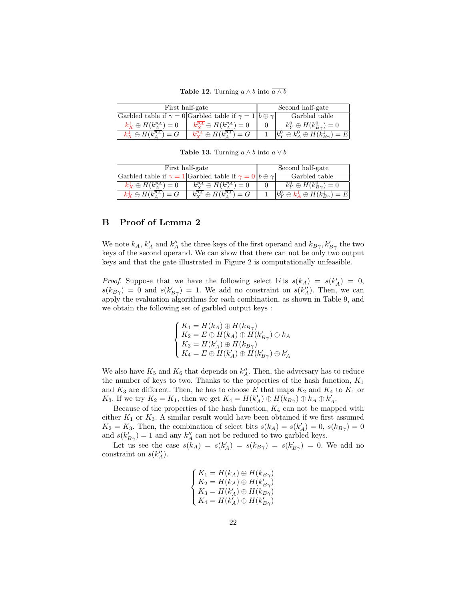**Table 12.** Turning  $a \wedge b$  into  $\overline{a \wedge b}$ 

| First half-gate                                                                |                                                                      |  | Second half-gate                                   |  |
|--------------------------------------------------------------------------------|----------------------------------------------------------------------|--|----------------------------------------------------|--|
| Garbled table if $\gamma = 0$ Garbled table if $\gamma = 1  b \oplus \gamma  $ |                                                                      |  | Garbled table                                      |  |
| $k_X^1 \oplus H(k_A^{p_A}) = 0$                                                | $k_{X}^{p_{A}} \oplus H(k_{A}^{p_{A}}) = 0$                          |  | $k_Y^0 \oplus H(k_{B\gamma}^0) = 0$                |  |
| $k_X^1 \oplus H(k_A^{p_A}) = G$                                                | $k_{\mathbf{y}}^{p_A} \oplus H(k_{\mathbf{A}}^{\overline{p_A}}) = G$ |  | $ k_Y^0 \oplus k_A^0 \oplus H(k_{B\gamma}^1) = E $ |  |

**Table 13.** Turning  $a \wedge b$  into  $a \vee b$ 

| First half-gate                                                               |                                                                                 |  | Second half-gate                                   |  |
|-------------------------------------------------------------------------------|---------------------------------------------------------------------------------|--|----------------------------------------------------|--|
| Garbled table if $\gamma = 1$ Garbled table if $\gamma = 0$ $b \oplus \gamma$ |                                                                                 |  | Garbled table                                      |  |
| $k_X^1 \oplus H(k_A^{p_A}) = 0$                                               | $k_{X}^{p_{A}} \oplus H(k_{A}^{p_{A}}) = 0$                                     |  | $k_Y^0 \oplus H(k_{B\gamma}^0) = 0$                |  |
| $k_X^1 \oplus H(k_A^{p_A}) = G$                                               | $k_{\mathbf{y}}^{\overline{p_A}} \oplus H(k_{\mathbf{A}}^{\overline{p_A}}) = G$ |  | $ k_Y^0 \oplus k_A^1 \oplus H(k_{B\gamma}^1) = E $ |  |

# B Proof of Lemma 2

We note  $k_A$ ,  $k'_A$  and  $k''_A$  the three keys of the first operand and  $k_{B\gamma}$ ,  $k'_{B\gamma}$  the two keys of the second operand. We can show that there can not be only two output keys and that the gate illustrated in Figure 2 is computationally unfeasible.

*Proof.* Suppose that we have the following select bits  $s(k_A) = s(k'_A) = 0$ ,  $s(k_{B\gamma}) = 0$  and  $s(k'_{B\gamma}) = 1$ . We add no constraint on  $s(k''_A)$ . Then, we can apply the evaluation algorithms for each combination, as shown in Table 9, and we obtain the following set of garbled output keys :

$$
\left\{ \begin{aligned} K_1 &= H(k_A) \oplus H(k_{B\gamma}) \\ K_2 &= E \oplus H(k_A) \oplus H(k'_{B\gamma}) \oplus k_A \\ K_3 &= H(k'_A) \oplus H(k_{B\gamma}) \\ K_4 &= E \oplus H(k'_A) \oplus H(k'_{B\gamma}) \oplus k'_A \end{aligned} \right.
$$

We also have  $K_5$  and  $K_6$  that depends on  $k''_A$ . Then, the adversary has to reduce the number of keys to two. Thanks to the properties of the hash function,  $K_1$ and  $K_3$  are different. Then, he has to choose E that maps  $K_2$  and  $K_4$  to  $K_1$  or K<sub>3</sub>. If we try  $K_2 = K_1$ , then we get  $K_4 = H(k'_A) \oplus H(k_{B\gamma}) \oplus k_A \oplus k'_A$ .

Because of the properties of the hash function,  $K_4$  can not be mapped with either  $K_1$  or  $K_3$ . A similar result would have been obtained if we first assumed  $K_2 = K_3$ . Then, the combination of select bits  $s(k_A) = s(k'_A) = 0$ ,  $s(k_{B\gamma}) = 0$ and  $s(k'_{B\gamma}) = 1$  and any  $k''_A$  can not be reduced to two garbled keys.

Let us see the case  $s(k_A) = s(k'_A) = s(k'_{B\gamma}) = s(k'_{B\gamma}) = 0$ . We add no constraint on  $s(k''_A)$ .

$$
\left\{ \begin{aligned} K_1 &= H(k_A) \oplus H(k_{B\gamma}) \\ K_2 &= H(k_A) \oplus H(k'_{B\gamma}) \\ K_3 &= H(k'_A) \oplus H(k_{B\gamma}) \\ K_4 &= H(k'_A) \oplus H(k'_{B\gamma}) \end{aligned} \right.
$$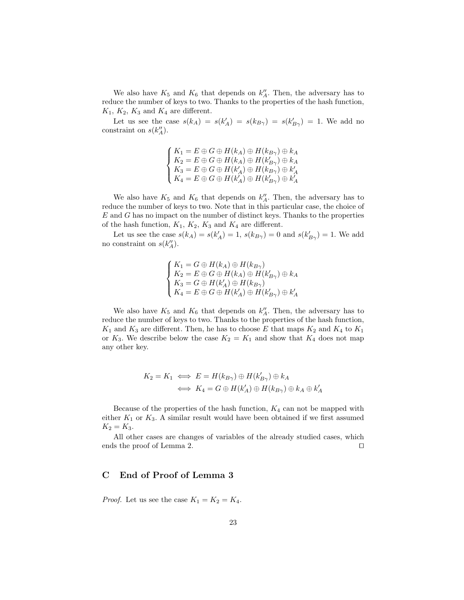We also have  $K_5$  and  $K_6$  that depends on  $k''_A$ . Then, the adversary has to reduce the number of keys to two. Thanks to the properties of the hash function,  $K_1$ ,  $K_2$ ,  $K_3$  and  $K_4$  are different.

Let us see the case  $s(k_A) = s(k'_A) = s(k'_{B\gamma}) = s(k'_{B\gamma}) = 1$ . We add no constraint on  $s(k''_A)$ .

$$
\left\{ \begin{array}{l} K_1=E\oplus G\oplus H(k_A)\oplus H(k_{B\gamma})\oplus k_A\\ K_2=E\oplus G\oplus H(k_A)\oplus H(k'_{B\gamma})\oplus k_A\\ K_3=E\oplus G\oplus H(k'_A)\oplus H(k_{B\gamma})\oplus k'_A\\ K_4=E\oplus G\oplus H(k'_A)\oplus H(k'_{B\gamma})\oplus k'_A \end{array} \right.
$$

We also have  $K_5$  and  $K_6$  that depends on  $k''_A$ . Then, the adversary has to reduce the number of keys to two. Note that in this particular case, the choice of E and G has no impact on the number of distinct keys. Thanks to the properties of the hash function,  $K_1$ ,  $K_2$ ,  $K_3$  and  $K_4$  are different.

Let us see the case  $s(k_A) = s(k'_A) = 1$ ,  $s(k_{B\gamma}) = 0$  and  $s(k'_{B\gamma}) = 1$ . We add no constraint on  $s(k''_A)$ .

$$
\left\{ \begin{aligned} K_1 &= G \oplus H(k_A) \oplus H(k_{B\gamma}) \\ K_2 &= E \oplus G \oplus H(k_A) \oplus H(k'_{B\gamma}) \oplus k_A \\ K_3 &= G \oplus H(k'_A) \oplus H(k_{B\gamma}) \\ K_4 &= E \oplus G \oplus H(k'_A) \oplus H(k'_{B\gamma}) \oplus k'_A \end{aligned} \right.
$$

We also have  $K_5$  and  $K_6$  that depends on  $k''_A$ . Then, the adversary has to reduce the number of keys to two. Thanks to the properties of the hash function,  $K_1$  and  $K_3$  are different. Then, he has to choose E that maps  $K_2$  and  $K_4$  to  $K_1$ or  $K_3$ . We describe below the case  $K_2 = K_1$  and show that  $K_4$  does not map any other key.

$$
K_2 = K_1 \iff E = H(k_{B\gamma}) \oplus H(k'_{B\gamma}) \oplus k_A
$$
  

$$
\iff K_4 = G \oplus H(k'_A) \oplus H(k_{B\gamma}) \oplus k_A \oplus k'_A
$$

Because of the properties of the hash function,  $K_4$  can not be mapped with either  $K_1$  or  $K_3$ . A similar result would have been obtained if we first assumed  $K_2 = K_3$ .

All other cases are changes of variables of the already studied cases, which ends the proof of Lemma 2.  $\Box$ 

## C End of Proof of Lemma 3

*Proof.* Let us see the case  $K_1 = K_2 = K_4$ .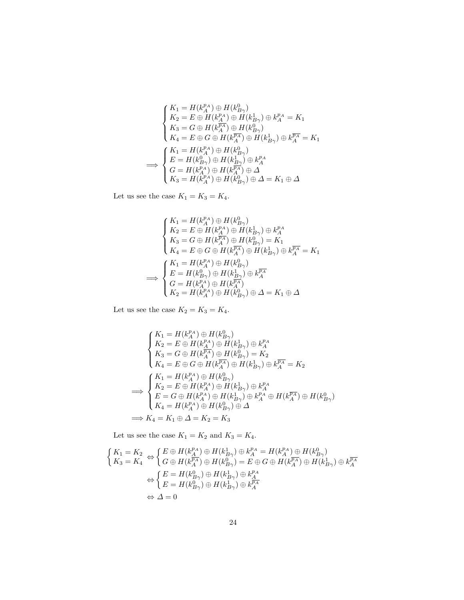$$
\left\{ \begin{aligned} K_1 &= H(k_A^{p_A}) \oplus H(k_{B\gamma}^0) \\ K_2 &= E \oplus H(k_A^{p_A}) \oplus H(k_{B\gamma}^1) \oplus k_A^{p_A} = K_1 \\ K_3 &= G \oplus H(k_A^{p_A}) \oplus H(k_{B\gamma}^0) \\ K_4 &= E \oplus G \oplus H(k_A^{p_A}) \oplus H(k_{B\gamma}^1) \oplus k_A^{\overline{p_A}} = K_1 \\ \sum &\left\{ \begin{aligned} K_1 &= H(k_A^{p_A}) \oplus H(k_{B\gamma}^0) \\ E &= H(k_{B\gamma}^0) \oplus H(k_{B\gamma}^1) \oplus k_A^{p_A} \\ G &= H(k_A^{p_A}) \oplus H(k_A^{p_A}) \oplus \Delta \\ K_3 &= H(k_A^{p_A}) \oplus H(k_{B\gamma}^0) \oplus \Delta = K_1 \oplus \Delta \end{aligned} \right. \end{aligned} \right.
$$

Let us see the case  $K_1=K_3=K_4.$ 

$$
\left\{ \begin{aligned} K_1 &= H(k_A^{p_A}) \oplus H(k_{B\gamma}^0) \\ K_2 &= E \oplus H(k_A^{p_A}) \oplus H(k_{B\gamma}^1) \oplus k_A^{p_A} \\ K_3 &= G \oplus H(k_A^{p_A}) \oplus H(k_{B\gamma}^0) = K_1 \\ K_4 &= E \oplus G \oplus H(k_A^{p_A}) \oplus H(k_{B\gamma}^1) \oplus k_A^{\overline{p_A}} = K_1 \\ \end{aligned} \right.
$$
  

$$
\implies \left\{ \begin{aligned} K_1 &= H(k_A^{p_A}) \oplus H(k_{B\gamma}^0) \\ E &= H(k_{B\gamma}^0) \oplus H(k_{B\gamma}^1) \oplus k_A^{\overline{p_A}} \\ G &= H(k_A^{p_A}) \oplus H(k_A^{p_A}) \\ K_2 &= H(k_A^{p_A}) \oplus H(k_{B\gamma}^0) \oplus \Delta = K_1 \oplus \Delta \end{aligned} \right.
$$

Let us see the case  $K_2=K_3=K_4.$ 

$$
\left\{ \begin{aligned} K_1 &= H(k_A^{p_A}) \oplus H(k_{B\gamma}^0) \\ K_2 &= E \oplus H(k_A^{p_A}) \oplus H(k_{B\gamma}^1) \oplus k_A^{p_A} \\ K_3 &= G \oplus H(k_A^{p_A}) \oplus H(k_{B\gamma}^0) = K_2 \\ K_4 &= E \oplus G \oplus H(k_A^{p_A}) \oplus H(k_{B\gamma}^1) \oplus k_A^{p_A} = K_2 \\ K_2 &= E \oplus H(k_A^{p_A}) \oplus H(k_{B\gamma}^1) \\ K_2 &= E \oplus H(k_A^{p_A}) \oplus H(k_{B\gamma}^1) \oplus k_A^{p_A} \\ K_3 &= G \oplus H(k_A^{p_A}) \oplus H(k_{B\gamma}^1) \oplus k_A^{p_A} \\ K_4 &= H(k_A^{p_A}) \oplus H(k_{B\gamma}^0) \oplus \Delta \\ \implies K_4 &= K_1 \oplus \Delta = K_2 = K_3 \end{aligned} \right.
$$

Let us see the case  $K_1 = K_2$  and  $K_3 = K_4.$ 

$$
\left\{ \begin{aligned} K_1&=K_2\\ K_3&=K_4 \end{aligned} \right.\Leftrightarrow \left\{ \begin{aligned} E\oplus H(k_A^{p_A})\oplus H(k_{B\gamma}^1)\oplus k_A^{p_A}&=H(k_A^{p_A})\oplus H(k_{B\gamma}^0)\\ G\oplus H(k_A^{p_A})\oplus H(k_{B\gamma}^0)=E\oplus G\oplus H(k_A^{p_A})\oplus H(k_{B\gamma}^1)\oplus k_A^{p_A} \end{aligned} \right. \Leftrightarrow \left\{ \begin{aligned} E&=H(k_{B\gamma}^0)\oplus H(k_{B\gamma}^1)\oplus k_A^{p_A}\\ E&=H(k_{B\gamma}^0)\oplus H(k_{B\gamma}^1)\oplus k_A^{p_A} \end{aligned} \right. \Leftrightarrow \left. \begin{aligned} \Delta&=0 \end{aligned} \right.
$$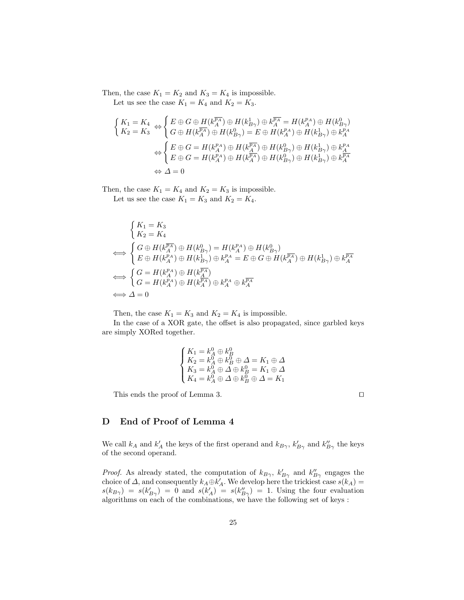Then, the case  $K_1 = K_2$  and  $K_3 = K_4$  is impossible.

Let us see the case  $K_1 = K_4$  and  $K_2 = K_3$ .

$$
\left\{ \begin{aligned} K_1 &= K_4 \\ K_2 &= K_3 \end{aligned} \right. \Leftrightarrow \left\{ \begin{aligned} E\oplus G\oplus H(k_A^{\overline{p_A}})\oplus H(k_{B\gamma}^1)\oplus k_A^{\overline{p_A}} &= H(k_A^{p_A})\oplus H(k_{B\gamma}^0) \\ G\oplus H(k_A^{\overline{p_A}})\oplus H(k_{B\gamma}^0) &= E\oplus H(k_A^{p_A})\oplus H(k_{B\gamma}^1)\oplus k_A^{p_A} \\ \Leftrightarrow \left\{ \begin{aligned} E\oplus G &= H(k_A^{p_A})\oplus H(k_A^{\overline{p_A}})\oplus H(k_{B\gamma}^0)\oplus H(k_{B\gamma}^1)\oplus k_A^{p_A} \\ E\oplus G &= H(k_A^{p_A})\oplus H(k_A^{\overline{p_A}})\oplus H(k_{B\gamma}^0)\oplus H(k_{B\gamma}^1)\oplus k_A^{\overline{p_A}} \\ \Leftrightarrow \Delta &= 0 \end{aligned} \right. \end{aligned} \right.
$$

Then, the case  $K_1 = K_4$  and  $K_2 = K_3$  is impossible.

Let us see the case  $K_1 = K_3$  and  $K_2 = K_4$ .

$$
\begin{cases}\nK_1 = K_3 \\
K_2 = K_4\n\end{cases}
$$
\n
$$
\Leftrightarrow \begin{cases}\nG \oplus H(k_A^{\overline{p_A}}) \oplus H(k_{B\gamma}^0) = H(k_A^{p_A}) \oplus H(k_{B\gamma}^0) \\
E \oplus H(k_A^{p_A}) \oplus H(k_{B\gamma}^1) \oplus k_A^{p_A} = E \oplus G \oplus H(k_A^{\overline{p_A}}) \oplus H(k_{B\gamma}^1) \oplus k_A^{\overline{p_A}}\n\end{cases}
$$
\n
$$
\Leftrightarrow \begin{cases}\nG = H(k_A^{p_A}) \oplus H(k_A^{\overline{p_A}}) \\
G = H(k_A^{p_A}) \oplus H(k_A^{\overline{p_A}}) \oplus k_A^{p_A} \oplus k_A^{\overline{p_A}}\n\end{cases}
$$
\n
$$
\Leftrightarrow \Delta = 0
$$

Then, the case  $K_1 = K_3$  and  $K_2 = K_4$  is impossible.

In the case of a XOR gate, the offset is also propagated, since garbled keys are simply XORed together.

$$
\left\{ \begin{array}{l} K_1 = k^0_A \oplus k^0_B \\ K_2 = k^0_A \oplus k^0_B \oplus \varDelta = K_1 \oplus \varDelta \\ K_3 = k^0_A \oplus \varDelta \oplus k^0_B = K_1 \oplus \varDelta \\ K_4 = k^0_A \oplus \varDelta \oplus k^0_B \oplus \varDelta = K_1 \end{array} \right.
$$

This ends the proof of Lemma 3.  $\Box$ 

# D End of Proof of Lemma 4

We call  $k_A$  and  $k'_A$  the keys of the first operand and  $k_{B\gamma}$ ,  $k'_{B\gamma}$  and  $k''_{B\gamma}$  the keys of the second operand.

*Proof.* As already stated, the computation of  $k_{B\gamma}$ ,  $k'_{B\gamma}$  and  $k''_{B\gamma}$  engages the choice of  $\Delta$ , and consequently  $k_A \oplus k_A'$ . We develop here the trickiest case  $s(k_A) =$  $s(k_{\widetilde{B}\gamma}) = s(k'_{\widetilde{B}\gamma}) = 0$  and  $s(k'_A) = s(k''_{\widetilde{B}\gamma}) = 1$ . Using the four evaluation algorithms on each of the combinations, we have the following set of keys :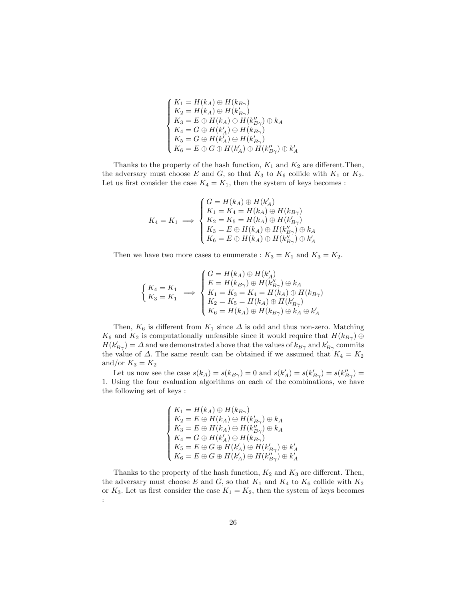$$
\left\{ \begin{aligned} K_1 &= H(k_A) \oplus H(k_{B\gamma}) \\ K_2 &= H(k_A) \oplus H(k'_{B\gamma}) \\ K_3 &= E \oplus H(k_A) \oplus H(k''_{B\gamma}) \oplus k_A \\ K_4 &= G \oplus H(k'_A) \oplus H(k_{B\gamma}) \\ K_5 &= G \oplus H(k'_A) \oplus H(k'_{B\gamma}) \\ K_6 &= E \oplus G \oplus H(k'_A) \oplus H(k''_{B\gamma}) \oplus k'_A \end{aligned} \right.
$$

Thanks to the property of the hash function,  $K_1$  and  $K_2$  are different. Then, the adversary must choose E and G, so that  $K_3$  to  $K_6$  collide with  $K_1$  or  $K_2$ . Let us first consider the case  $K_4 = K_1$ , then the system of keys becomes :

$$
K_4 = K_1 \implies \begin{cases} G = H(k_A) \oplus H(k_A') \\ K_1 = K_4 = H(k_A) \oplus H(k_{B\gamma}) \\ K_2 = K_5 = H(k_A) \oplus H(k_{B\gamma}') \\ K_3 = E \oplus H(k_A) \oplus H(k_{B\gamma}'') \oplus k_A \\ K_6 = E \oplus H(k_A) \oplus H(k_{B\gamma}') \oplus k_A' \end{cases}
$$

Then we have two more cases to enumerate :  $K_3 = K_1$  and  $K_3 = K_2$ .

$$
\left\{ \begin{array}{l} K_4 = K_1 \\ K_3 = K_1 \end{array} \right. \Longrightarrow \left\{ \begin{array}{l} G = H(k_A) \oplus H(k_A') \\ E = H(k_{B\gamma}) \oplus H(k_{B\gamma}') \oplus k_A \\ K_1 = K_3 = K_4 = H(k_A) \oplus H(k_{B\gamma}) \\ K_2 = K_5 = H(k_A) \oplus H(k_{B\gamma}') \\ K_6 = H(k_A) \oplus H(k_{B\gamma}) \oplus k_A \oplus k_A' \end{array} \right.
$$

Then,  $K_6$  is different from  $K_1$  since  $\Delta$  is odd and thus non-zero. Matching  $K_6$  and  $K_2$  is computationally unfeasible since it would require that  $H(k_{B\gamma})\oplus$  $H(k'_{B\gamma}) = \Delta$  and we demonstrated above that the values of  $k_{B\gamma}$  and  $k'_{B\gamma}$  commits the value of  $\Delta$ . The same result can be obtained if we assumed that  $K_4 = K_2$ and/or  $K_3=K_2$ 

Let us now see the case  $s(k_A) = s(k_{B\gamma}) = 0$  and  $s(k'_A) = s(k'_{B\gamma}) = s(k''_{B\gamma}) =$ 1. Using the four evaluation algorithms on each of the combinations, we have the following set of keys :

$$
\left\{ \begin{aligned} &K_1=H(k_A)\oplus H(k_{B\gamma})\\ &K_2=E\oplus H(k_A)\oplus H(k'_{B\gamma})\oplus k_A\\ &K_3=E\oplus H(k_A)\oplus H(k''_{B\gamma})\oplus k_A\\ &K_4=G\oplus H(k'_A)\oplus H(k_{B\gamma})\\ &K_5=E\oplus G\oplus H(k'_A)\oplus H(k'_{B\gamma})\oplus k'_A\\ &K_6=E\oplus G\oplus H(k'_A)\oplus H(k''_{B\gamma})\oplus k'_A \end{aligned} \right.
$$

Thanks to the property of the hash function,  $K_2$  and  $K_3$  are different. Then, the adversary must choose E and G, so that  $K_1$  and  $K_4$  to  $K_6$  collide with  $K_2$ or  $K_3$ . Let us first consider the case  $K_1 = K_2$ , then the system of keys becomes :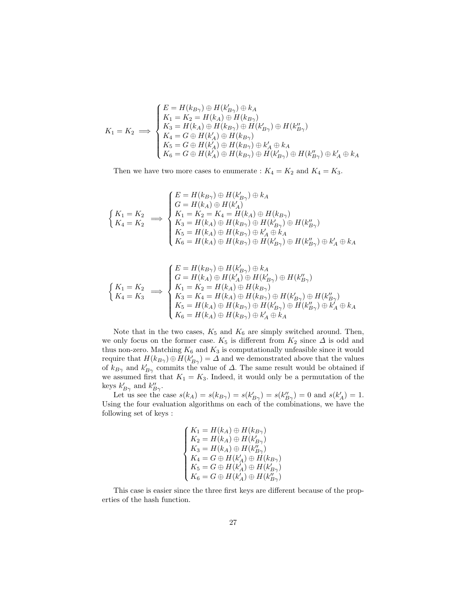$$
K_1 = K_2 \implies \begin{cases} E = H(k_{B\gamma}) \oplus H(k_{B\gamma}') \oplus k_A \\ K_1 = K_2 = H(k_A) \oplus H(k_{B\gamma}) \\ K_3 = H(k_A) \oplus H(k_{B\gamma}) \oplus H(k_{B\gamma}') \oplus H(k_{B\gamma}'') \\ K_4 = G \oplus H(k_A') \oplus H(k_{B\gamma}) \\ K_5 = G \oplus H(k_A') \oplus H(k_{B\gamma}) \oplus k_A' \oplus k_A \\ K_6 = G \oplus H(k_A') \oplus H(k_{B\gamma}) \oplus H(k_{B\gamma}') \oplus H(k_{B\gamma}'') \oplus k_A' \oplus k_A \end{cases}
$$

Then we have two more cases to enumerate :  $K_4 = K_2$  and  $K_4 = K_3$ .

$$
\left\{ \begin{array}{l} K_1 = K_2 \\ K_4 = K_2 \end{array} \right. \Longrightarrow \left\{ \begin{array}{l} E = H(k_{B\gamma}) \oplus H(k_{B\gamma}') \oplus k_A \\ G = H(k_A) \oplus H(k_A') \\ K_1 = K_2 = K_4 = H(k_A) \oplus H(k_{B\gamma}) \\ K_3 = H(k_A) \oplus H(k_{B\gamma}) \oplus H(k_{B\gamma}') \oplus H(k_{B\gamma}') \\ K_5 = H(k_A) \oplus H(k_{B\gamma}) \oplus k_A' \oplus k_A \\ K_6 = H(k_A) \oplus H(k_{B\gamma}) \oplus H(k_{B\gamma}') \oplus H(k_{B\gamma}') \oplus k_A' \oplus k_A \end{array} \right.
$$

$$
\left\{ \begin{array}{l} K_1 = K_2 \\ K_4 = K_3 \end{array} \right. \Longrightarrow \left\{ \begin{array}{l} E = H(k_{B\gamma}) \oplus H(k_{B\gamma}') \oplus k_A \\ G = H(k_A) \oplus H(k_A') \oplus H(k_{B\gamma}') \oplus H(k_{B\gamma}') \\ K_1 = K_2 = H(k_A) \oplus H(k_{B\gamma}) \\ K_3 = K_4 = H(k_A) \oplus H(k_{B\gamma}) \oplus H(k_{B\gamma}') \oplus H(k_{B\gamma}') \\ K_5 = H(k_A) \oplus H(k_{B\gamma}) \oplus H(k_{B\gamma}') \oplus H(k_{B\gamma}') \oplus k_A' \oplus k_A \\ K_6 = H(k_A) \oplus H(k_{B\gamma}) \oplus k_A' \oplus k_A \end{array} \right.
$$

Note that in the two cases,  $K_5$  and  $K_6$  are simply switched around. Then, we only focus on the former case.  $K_5$  is different from  $K_2$  since  $\Delta$  is odd and thus non-zero. Matching  $K_6$  and  $K_3$  is computationally unfeasible since it would require that  $H(k_{B\gamma}) \oplus H(k'_{B\gamma}) = \Delta$  and we demonstrated above that the values of  $k_{B\gamma}$  and  $k'_{B\gamma}$  commits the value of  $\Delta$ . The same result would be obtained if we assumed first that  $K_1 = K_3$ . Indeed, it would only be a permutation of the keys  $k'_{B\gamma}$  and  $k''_{B\gamma}$ .

Let us see the case  $s(k_A) = s(k_{B\gamma}) = s(k'_{B\gamma}) = s(k''_{B\gamma}) = 0$  and  $s(k'_A) = 1$ . Using the four evaluation algorithms on each of the combinations, we have the following set of keys :

$$
\left\{ \begin{array}{l} K_1 = H(k_A) \oplus H(k_{B\gamma}) \\ K_2 = H(k_A) \oplus H(k_{B\gamma}') \\ K_3 = H(k_A) \oplus H(k_{B\gamma}'') \\ K_4 = G \oplus H(k_A') \oplus H(k_{B\gamma}) \\ K_5 = G \oplus H(k_A') \oplus H(k_{B\gamma}') \\ K_6 = G \oplus H(k_A') \oplus H(k_{B\gamma}'') \end{array} \right.
$$

This case is easier since the three first keys are different because of the properties of the hash function.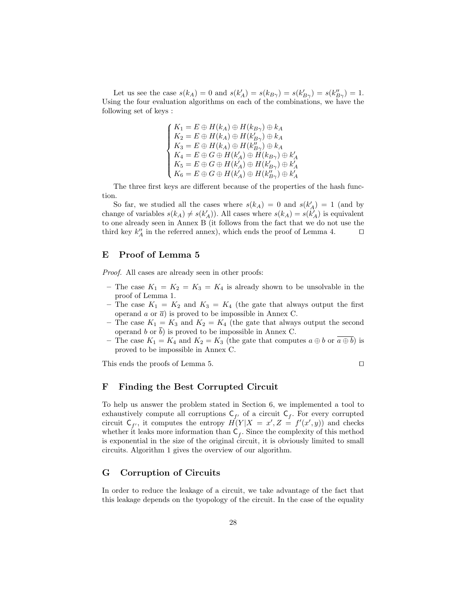Let us see the case  $s(k_A) = 0$  and  $s(k'_A) = s(k_{B\gamma}) = s(k'_{B\gamma}) = s(k''_{B\gamma}) = 1$ . Using the four evaluation algorithms on each of the combinations, we have the following set of keys :

$$
\left\{ \begin{array}{l} K_1=E\oplus H(k_A)\oplus H(k_{B\gamma})\oplus k_A\\ K_2=E\oplus H(k_A)\oplus H(k'_{B\gamma})\oplus k_A\\ K_3=E\oplus H(k_A)\oplus H(k''_{B\gamma})\oplus k_A\\ K_4=E\oplus G\oplus H(k'_A)\oplus H(k_{B\gamma})\oplus k'_A\\ K_5=E\oplus G\oplus H(k'_A)\oplus H(k'_{B\gamma})\oplus k'_A\\ K_6=E\oplus G\oplus H(k'_A)\oplus H(k''_{B\gamma})\oplus k'_A \end{array} \right.
$$

The three first keys are different because of the properties of the hash function.

So far, we studied all the cases where  $s(k_A) = 0$  and  $s(k'_A) = 1$  (and by change of variables  $s(k_A) \neq s(k'_A)$ ). All cases where  $s(k_A) = s(k'_A)$  is equivalent to one already seen in Annex B (it follows from the fact that we do not use the third key  $k''_A$  in the referred annex), which ends the proof of Lemma 4.  $\Box$ 

## E Proof of Lemma 5

Proof. All cases are already seen in other proofs:

- The case  $K_1 = K_2 = K_3 = K_4$  is already shown to be unsolvable in the proof of Lemma 1.
- The case  $K_1 = K_2$  and  $K_3 = K_4$  (the gate that always output the first operand a or  $\bar{a}$ ) is proved to be impossible in Annex C.
- The case  $K_1 = K_3$  and  $K_2 = K_4$  (the gate that always output the second operand b or  $\bar{b}$ ) is proved to be impossible in Annex C.
- The case  $K_1 = K_4$  and  $K_2 = K_3$  (the gate that computes  $a \oplus b$  or  $a \oplus b$ ) is proved to be impossible in Annex C.

This ends the proofs of Lemma 5.

$$
\Box
$$

# F Finding the Best Corrupted Circuit

To help us answer the problem stated in Section 6, we implemented a tool to exhaustively compute all corruptions  $C_{f'}$  of a circuit  $C_f$ . For every corrupted circuit  $C_{f'}$ , it computes the entropy  $H(Y|X = x', Z = f'(x', y))$  and checks whether it leaks more information than  $C_f$ . Since the complexity of this method is exponential in the size of the original circuit, it is obviously limited to small circuits. Algorithm 1 gives the overview of our algorithm.

# G Corruption of Circuits

In order to reduce the leakage of a circuit, we take advantage of the fact that this leakage depends on the tyopology of the circuit. In the case of the equality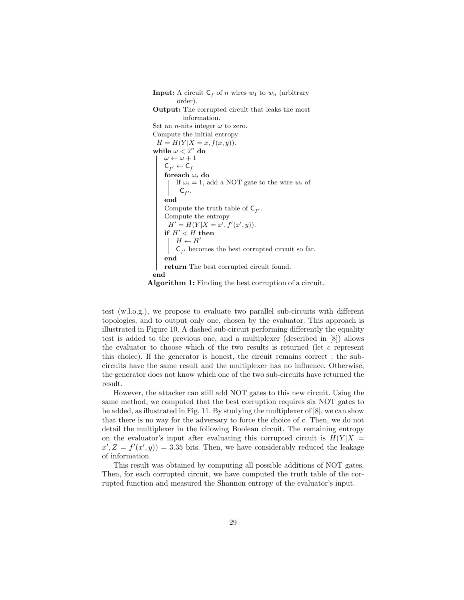**Input:** A circuit  $C_f$  of n wires  $w_1$  to  $w_n$  (arbitrary order). Output: The corrupted circuit that leaks the most information. Set an *n*-nits integer  $\omega$  to zero. Compute the initial entropy  $H = H(Y|X = x, f(x, y)).$ while  $\omega < 2^n$  do  $\omega \leftarrow \omega + 1$  $C_{f'} \leftarrow C_f$ foreach  $\omega_i$  do If  $\omega_i = 1$ , add a NOT gate to the wire  $w_i$  of  $C_{f}$ . end Compute the truth table of  $C_{f}$ . Compute the entropy  $H' = H(Y | X = x', f'(x', y)).$ if  $H^{\prime} < H$  then  $H \leftarrow H'$  $C_{f}$  becomes the best corrupted circuit so far. end return The best corrupted circuit found. end

Algorithm 1: Finding the best corruption of a circuit.

test (w.l.o.g.), we propose to evaluate two parallel sub-circuits with different topologies, and to output only one, chosen by the evaluator. This approach is illustrated in Figure 10. A dashed sub-circuit performing differently the equality test is added to the previous one, and a multiplexer (described in [8]) allows the evaluator to choose which of the two results is returned (let  $c$  represent this choice). If the generator is honest, the circuit remains correct : the subcircuits have the same result and the multiplexer has no influence. Otherwise, the generator does not know which one of the two sub-circuits have returned the result.

However, the attacker can still add NOT gates to this new circuit. Using the same method, we computed that the best corruption requires six NOT gates to be added, as illustrated in Fig. 11. By studying the multiplexer of [8], we can show that there is no way for the adversary to force the choice of c. Then, we do not detail the multiplexer in the following Boolean circuit. The remaining entropy on the evaluator's input after evaluating this corrupted circuit is  $H(Y|X)$  $x', Z = f'(x', y)$  = 3.35 bits. Then, we have considerably reduced the leakage of information.

This result was obtained by computing all possible additions of NOT gates. Then, for each corrupted circuit, we have computed the truth table of the corrupted function and measured the Shannon entropy of the evaluator's input.